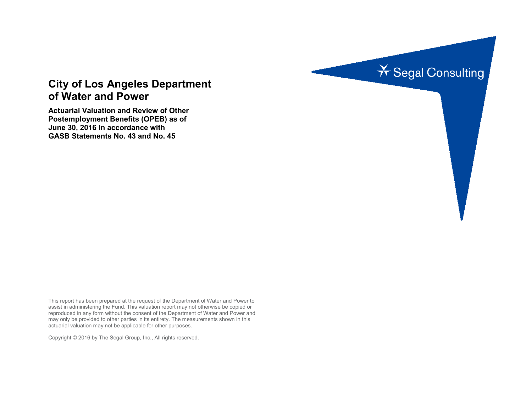

# **City of Los Angeles Department of Water and Power**

**Actuarial Valuation and Review of Other Postemployment Benefits (OPEB) as of June 30, 2016 In accordance with GASB Statements No. 43 and No. 45**

This report has been prepared at the request of the Department of Water and Power to assist in administering the Fund. This valuation report may not otherwise be copied or reproduced in any form without the consent of the Department of Water and Power and may only be provided to other parties in its entirety. The measurements shown in this actuarial valuation may not be applicable for other purposes.

Copyright © 2016 by The Segal Group, Inc., All rights reserved.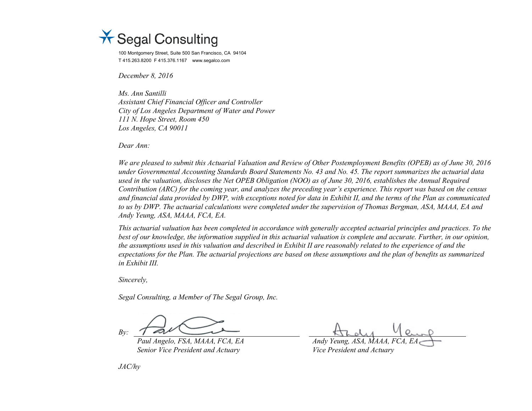

100 Montgomery Street, Suite 500 San Francisco, CA 94104 T 415.263.8200 F 415.376.1167 www.segalco.com

*December 8, 2016*

*Ms. Ann Santilli Assistant Chief Financial Officer and Controller City of Los Angeles Department of Water and Power 111 N. Hope Street, Room 450 Los Angeles, CA 90011*

*Dear Ann:*

*We are pleased to submit this Actuarial Valuation and Review of Other Postemployment Benefits (OPEB) as of June 30, 2016 under Governmental Accounting Standards Board Statements No. 43 and No. 45. The report summarizes the actuarial data used in the valuation, discloses the Net OPEB Obligation (NOO) as of June 30, 2016, establishes the Annual Required Contribution (ARC) for the coming year, and analyzes the preceding year's experience. This report was based on the census and financial data provided by DWP, with exceptions noted for data in Exhibit II, and the terms of the Plan as communicated to us by DWP. The actuarial calculations were completed under the supervision of Thomas Bergman, ASA, MAAA, EA and Andy Yeung, ASA, MAAA, FCA, EA.* 

*This actuarial valuation has been completed in accordance with generally accepted actuarial principles and practices. To the best of our knowledge, the information supplied in this actuarial valuation is complete and accurate. Further, in our opinion, the assumptions used in this valuation and described in Exhibit II are reasonably related to the experience of and the expectations for the Plan. The actuarial projections are based on these assumptions and the plan of benefits as summarized in Exhibit III.*

*Sincerely,*

*Segal Consulting, a Member of The Segal Group, Inc.*

*By:*

*Paul Angelo, FSA, MAAA, FCA, EA Andy Yeung, ASA, MAAA, FCA, EA Senior Vice President and Actuary Vice President and Actuary* 

*JAC/hy*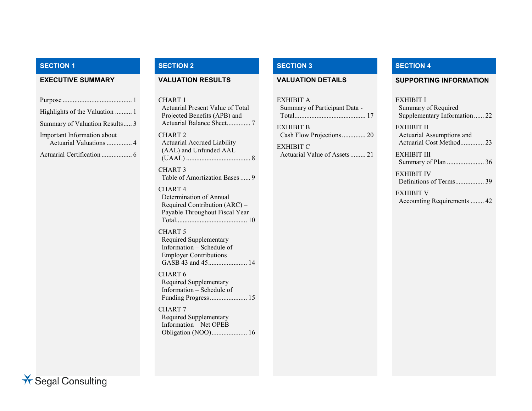| Highlights of the Valuation  1                         |
|--------------------------------------------------------|
| Summary of Valuation Results 3                         |
| Important Information about<br>Actuarial Valuations  4 |
|                                                        |

CHART 1 Actuarial Present Value of Total Projected Benefits (APB) and Actuarial Balance Sheet.............. 7 CHART 2 Actuarial Accrued Liability (AAL) and Unfunded AAL (UAAL) ...................................... 8 CHART 3 Table of Amortization Bases...... 9

CHART 4 Determination of Annual Required Contribution (ARC) – Payable Throughout Fiscal Year Total.......................................... 10

CHART 5 Required Supplementary Information – Schedule of Employer Contributions GASB 43 and 45....................... 14

CHART 6 Required Supplementary Information – Schedule of Funding Progress...................... 15

CHART 7 Required Supplementary Information – Net OPEB Obligation (NOO)..................... 16

EXHIBIT A Summary of Participant Data - Total.......................................... 17 EXHIBIT B Cash Flow Projections.............. 20

EXHIBIT C Actuarial Value of Assets......... 21

# **SECTION 1 SECTION 2 SECTION 3 SECTION 4**

### **EXECUTIVE SUMMARY VALUATION RESULTS VALUATION DETAILS SUPPORTING INFORMATION**

### EXHIBIT I

Summary of Required Supplementary Information ...... 22

EXHIBIT II Actuarial Assumptions and Actuarial Cost Method.............. 23

EXHIBIT III Summary of Plan ...................... 36

EXHIBIT IV Definitions of Terms................. 39

EXHIBIT V Accounting Requirements ........ 42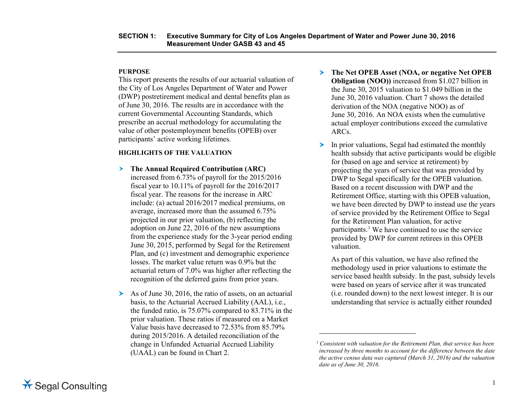### **PURPOSE**

This report presents the results of our actuarial valuation of the City of Los Angeles Department of Water and Power (DWP) postretirement medical and dental benefits plan as of June 30, 2016. The results are in accordance with the current Governmental Accounting Standards, which prescribe an accrual methodology for accumulating the value of other postemployment benefits (OPEB) over participants' active working lifetimes.

### **HIGHLIGHTS OF THE VALUATION**

- **The Annual Required Contribution (ARC)** increased from 6.73% of payroll for the 2015/2016 fiscal year to 10.11% of payroll for the 2016/2017 fiscal year. The reasons for the increase in ARC include: (a) actual 2016/2017 medical premiums, on average, increased more than the assumed 6.75% projected in our prior valuation, (b) reflecting the adoption on June 22, 2016 of the new assumptions from the experience study for the 3-year period ending June 30, 2015, performed by Segal for the Retirement Plan, and (c) investment and demographic experience losses. The market value return was 0.9% but the actuarial return of 7.0% was higher after reflecting the recognition of the deferred gains from prior years.
- $\triangleright$  As of June 30, 2016, the ratio of assets, on an actuarial basis, to the Actuarial Accrued Liability (AAL), i.e., the funded ratio, is 75.07% compared to 83.71% in the prior valuation. These ratios if measured on a Market Value basis have decreased to 72.53% from 85.79% during 2015/2016. A detailed reconciliation of the change in Unfunded Actuarial Accrued Liability (UAAL) can be found in Chart 2.
- <span id="page-3-0"></span> **The Net OPEB Asset (NOA, or negative Net OPEB Obligation (NOO))** increased from \$1.027 billion in the June 30, 2015 valuation to \$1.049 billion in the June 30, 2016 valuation. Chart 7 shows the detailed derivation of the NOA (negative NOO) as of June 30, 2016. An NOA exists when the cumulative actual employer contributions exceed the cumulative ARCs.
- $\blacktriangleright$  In prior valuations, Segal had estimated the monthly health subsidy that active participants would be eligible for (based on age and service at retirement) by projecting the years of service that was provided by DWP to Segal specifically for the OPEB valuation. Based on a recent discussion with DWP and the Retirement Office, starting with this OPEB valuation, we have been directed by DWP to instead use the years of service provided by the Retirement Office to Segal for the Retirement Plan valuation, for active participants.<sup>[1](#page-3-0)</sup> We have continued to use the service provided by DWP for current retirees in this OPEB valuation.

As part of this valuation, we have also refined the methodology used in prior valuations to estimate the service based health subsidy. In the past, subsidy levels were based on years of service after it was truncated (i.e. rounded down) to the next lowest integer. It is our understanding that service is actually either rounded

 $\overline{a}$ 

*<sup>1</sup> Consistent with valuation for the Retirement Plan, that service has been increased by three months to account for the difference between the date the active census data was captured (March 31, 2016) and the valuation date as of June 30, 2016.*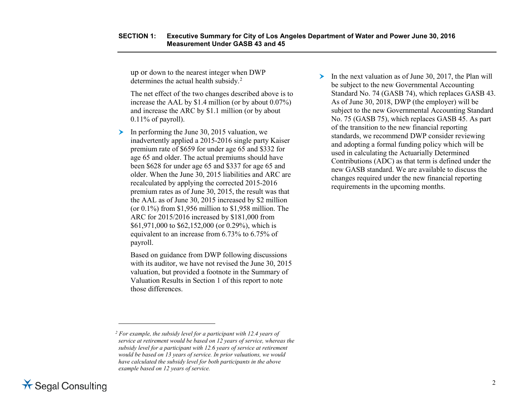up or down to the nearest integer when DWP determines the actual health subsidy.<sup>[2](#page-4-0)</sup>

The net effect of the two changes described above is to increase the AAL by \$1.4 million (or by about 0.07%) and increase the ARC by \$1.1 million (or by about  $0.11\%$  of payroll).

In performing the June 30, 2015 valuation, we inadvertently applied a 2015-2016 single party Kaiser premium rate of \$659 for under age 65 and \$332 for age 65 and older. The actual premiums should have been \$628 for under age 65 and \$337 for age 65 and older. When the June 30, 2015 liabilities and ARC are recalculated by applying the corrected 2015-2016 premium rates as of June 30, 2015, the result was that the AAL as of June 30, 2015 increased by \$2 million (or  $0.1\%$ ) from \$1,956 million to \$1,958 million. The ARC for 2015/2016 increased by \$181,000 from \$61,971,000 to \$62,152,000 (or 0.29%), which is equivalent to an increase from 6.73% to 6.75% of payroll.

Based on guidance from DWP following discussions with its auditor, we have not revised the June 30, 2015 valuation, but provided a footnote in the Summary of Valuation Results in Section 1 of this report to note those differences.

<span id="page-4-0"></span> In the next valuation as of June 30, 2017, the Plan will be subject to the new Governmental Accounting Standard No. 74 (GASB 74), which replaces GASB 43. As of June 30, 2018, DWP (the employer) will be subject to the new Governmental Accounting Standard No. 75 (GASB 75), which replaces GASB 45. As part of the transition to the new financial reporting standards, we recommend DWP consider reviewing and adopting a formal funding policy which will be used in calculating the Actuarially Determined Contributions (ADC) as that term is defined under the new GASB standard. We are available to discuss the changes required under the new financial reporting requirements in the upcoming months.



 $\overline{a}$ 

*<sup>2</sup> For example, the subsidy level for a participant with 12.4 years of service at retirement would be based on 12 years of service, whereas the subsidy level for a participant with 12.6 years of service at retirement would be based on 13 years of service. In prior valuations, we would have calculated the subsidy level for both participants in the above example based on 12 years of service.*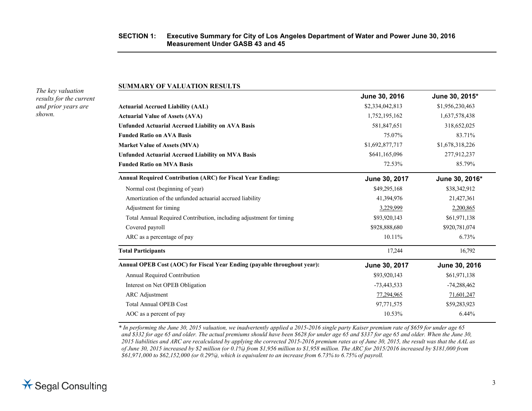### **SECTION 1: Executive Summary for City of Los Angeles Department of Water and Power June 30, 2016 Measurement Under GASB 43 and 45**

*The key valuation results for the current and prior years are shown.*

### **SUMMARY OF VALUATION RESULTS**

|                                                                          | June 30, 2016   | June 30, 2015*  |
|--------------------------------------------------------------------------|-----------------|-----------------|
| <b>Actuarial Accrued Liability (AAL)</b>                                 | \$2,334,042,813 | \$1,956,230,463 |
| <b>Actuarial Value of Assets (AVA)</b>                                   | 1,752,195,162   | 1,637,578,438   |
| <b>Unfunded Actuarial Accrued Liability on AVA Basis</b>                 | 581,847,651     | 318,652,025     |
| <b>Funded Ratio on AVA Basis</b>                                         | 75.07%          | 83.71%          |
| <b>Market Value of Assets (MVA)</b>                                      | \$1,692,877,717 | \$1,678,318,226 |
| <b>Unfunded Actuarial Accrued Liability on MVA Basis</b>                 | \$641,165,096   | 277,912,237     |
| <b>Funded Ratio on MVA Basis</b>                                         | 72.53%          | 85.79%          |
| <b>Annual Required Contribution (ARC) for Fiscal Year Ending:</b>        | June 30, 2017   | June 30, 2016*  |
| Normal cost (beginning of year)                                          | \$49,295,168    | \$38,342,912    |
| Amortization of the unfunded actuarial accrued liability                 | 41,394,976      | 21,427,361      |
| Adjustment for timing                                                    | 3,229,999       | 2,200,865       |
| Total Annual Required Contribution, including adjustment for timing      | \$93,920,143    | \$61,971,138    |
| Covered payroll                                                          | \$928,888,680   | \$920,781,074   |
| ARC as a percentage of pay                                               | 10.11%          | 6.73%           |
| <b>Total Participants</b>                                                | 17,244          | 16,792          |
| Annual OPEB Cost (AOC) for Fiscal Year Ending (payable throughout year): | June 30, 2017   | June 30, 2016   |
| Annual Required Contribution                                             | \$93,920,143    | \$61,971,138    |
| Interest on Net OPEB Obligation                                          | $-73,443,533$   | $-74,288,462$   |
| <b>ARC</b> Adjustment                                                    | 77,294,965      | 71,601,247      |
| <b>Total Annual OPEB Cost</b>                                            | 97,771,575      | \$59,283,923    |
| AOC as a percent of pay                                                  | 10.53%          | 6.44%           |
|                                                                          |                 |                 |

*\* In performing the June 30, 2015 valuation, we inadvertently applied a 2015-2016 single party Kaiser premium rate of \$659 for under age 65 and \$332 for age 65 and older. The actual premiums should have been \$628 for under age 65 and \$337 for age 65 and older. When the June 30, 2015 liabilities and ARC are recalculated by applying the corrected 2015-2016 premium rates as of June 30, 2015, the result was that the AAL as of June 30, 2015 increased by \$2 million (or 0.1%) from \$1,956 million to \$1,958 million. The ARC for 2015/2016 increased by \$181,000 from \$61,971,000 to \$62,152,000 (or 0.29%), which is equivalent to an increase from 6.73% to 6.75% of payroll.*

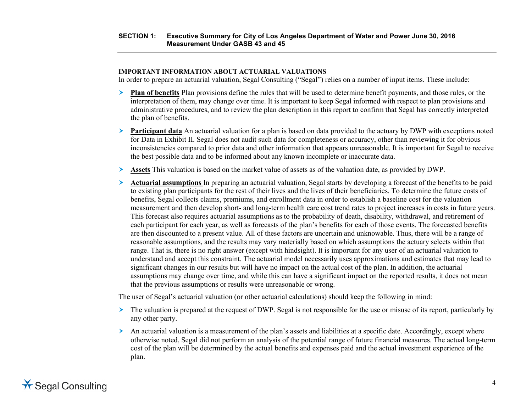### **SECTION 1: Executive Summary for City of Los Angeles Department of Water and Power June 30, 2016 Measurement Under GASB 43 and 45**

### **IMPORTANT INFORMATION ABOUT ACTUARIAL VALUATIONS**

In order to prepare an actuarial valuation, Segal Consulting ("Segal") relies on a number of input items. These include:

- **Plan of benefits** Plan provisions define the rules that will be used to determine benefit payments, and those rules, or the interpretation of them, may change over time. It is important to keep Segal informed with respect to plan provisions and administrative procedures, and to review the plan description in this report to confirm that Segal has correctly interpreted the plan of benefits.
- **Participant data** An actuarial valuation for a plan is based on data provided to the actuary by DWP with exceptions noted for Data in Exhibit II. Segal does not audit such data for completeness or accuracy, other than reviewing it for obvious inconsistencies compared to prior data and other information that appears unreasonable. It is important for Segal to receive the best possible data and to be informed about any known incomplete or inaccurate data.
- **Assets** This valuation is based on the market value of assets as of the valuation date, as provided by DWP.
- **Actuarial assumptions** In preparing an actuarial valuation, Segal starts by developing a forecast of the benefits to be paid to existing plan participants for the rest of their lives and the lives of their beneficiaries. To determine the future costs of benefits, Segal collects claims, premiums, and enrollment data in order to establish a baseline cost for the valuation measurement and then develop short- and long-term health care cost trend rates to project increases in costs in future years. This forecast also requires actuarial assumptions as to the probability of death, disability, withdrawal, and retirement of each participant for each year, as well as forecasts of the plan's benefits for each of those events. The forecasted benefits are then discounted to a present value. All of these factors are uncertain and unknowable. Thus, there will be a range of reasonable assumptions, and the results may vary materially based on which assumptions the actuary selects within that range. That is, there is no right answer (except with hindsight). It is important for any user of an actuarial valuation to understand and accept this constraint. The actuarial model necessarily uses approximations and estimates that may lead to significant changes in our results but will have no impact on the actual cost of the plan. In addition, the actuarial assumptions may change over time, and while this can have a significant impact on the reported results, it does not mean that the previous assumptions or results were unreasonable or wrong.

The user of Segal's actuarial valuation (or other actuarial calculations) should keep the following in mind:

- The valuation is prepared at the request of DWP. Segal is not responsible for the use or misuse of its report, particularly by any other party.
- An actuarial valuation is a measurement of the plan's assets and liabilities at a specific date. Accordingly, except where otherwise noted, Segal did not perform an analysis of the potential range of future financial measures. The actual long-term cost of the plan will be determined by the actual benefits and expenses paid and the actual investment experience of the plan.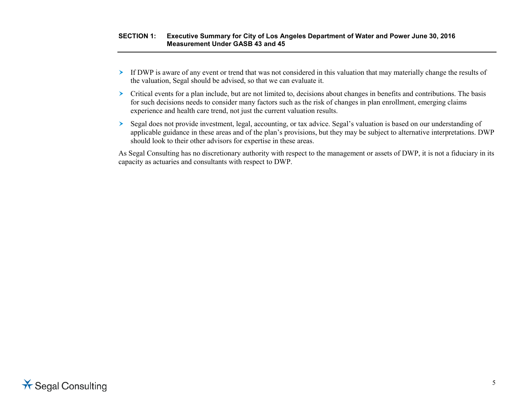### **SECTION 1: Executive Summary for City of Los Angeles Department of Water and Power June 30, 2016 Measurement Under GASB 43 and 45**

- $\triangleright$  If DWP is aware of any event or trend that was not considered in this valuation that may materially change the results of the valuation, Segal should be advised, so that we can evaluate it.
- $\triangleright$  Critical events for a plan include, but are not limited to, decisions about changes in benefits and contributions. The basis for such decisions needs to consider many factors such as the risk of changes in plan enrollment, emerging claims experience and health care trend, not just the current valuation results.
- Segal does not provide investment, legal, accounting, or tax advice. Segal's valuation is based on our understanding of applicable guidance in these areas and of the plan's provisions, but they may be subject to alternative interpretations. DWP should look to their other advisors for expertise in these areas.

As Segal Consulting has no discretionary authority with respect to the management or assets of DWP, it is not a fiduciary in its capacity as actuaries and consultants with respect to DWP.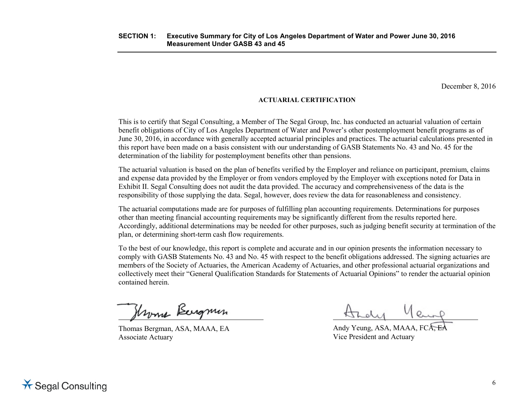December 8, 2016

# **ACTUARIAL CERTIFICATION**

This is to certify that Segal Consulting, a Member of The Segal Group, Inc. has conducted an actuarial valuation of certain benefit obligations of City of Los Angeles Department of Water and Power's other postemployment benefit programs as of June 30, 2016, in accordance with generally accepted actuarial principles and practices. The actuarial calculations presented in this report have been made on a basis consistent with our understanding of GASB Statements No. 43 and No. 45 for the determination of the liability for postemployment benefits other than pensions.

The actuarial valuation is based on the plan of benefits verified by the Employer and reliance on participant, premium, claims and expense data provided by the Employer or from vendors employed by the Employer with exceptions noted for Data in Exhibit II. Segal Consulting does not audit the data provided. The accuracy and comprehensiveness of the data is the responsibility of those supplying the data. Segal, however, does review the data for reasonableness and consistency.

The actuarial computations made are for purposes of fulfilling plan accounting requirements. Determinations for purposes other than meeting financial accounting requirements may be significantly different from the results reported here. Accordingly, additional determinations may be needed for other purposes, such as judging benefit security at termination of the plan, or determining short-term cash flow requirements.

To the best of our knowledge, this report is complete and accurate and in our opinion presents the information necessary to comply with GASB Statements No. 43 and No. 45 with respect to the benefit obligations addressed. The signing actuaries are members of the Society of Actuaries, the American Academy of Actuaries, and other professional actuarial organizations and collectively meet their "General Qualification Standards for Statements of Actuarial Opinions" to render the actuarial opinion contained herein.

Hroma Bergmin

Thomas Bergman, ASA, MAAA, EA Associate Actuary

yeund

Andy Yeung, ASA, MAAA, FCA, EA Vice President and Actuary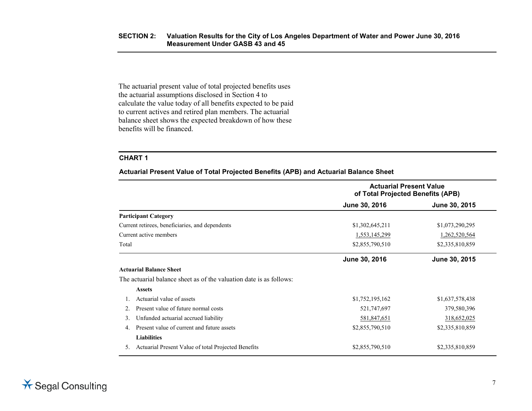The actuarial present value of total projected benefits uses the actuarial assumptions disclosed in Section 4 to calculate the value today of all benefits expected to be paid to current actives and retired plan members. The actuarial balance sheet shows the expected breakdown of how these benefits will be financed.

## **CHART 1**

**Actuarial Present Value of Total Projected Benefits (APB) and Actuarial Balance Sheet**

|       |                                                                     | <b>Actuarial Present Value</b><br>of Total Projected Benefits (APB) |                 |  |
|-------|---------------------------------------------------------------------|---------------------------------------------------------------------|-----------------|--|
|       |                                                                     | June 30, 2016                                                       | June 30, 2015   |  |
|       | <b>Participant Category</b>                                         |                                                                     |                 |  |
|       | Current retirees, beneficiaries, and dependents                     | \$1,302,645,211                                                     | \$1,073,290,295 |  |
|       | Current active members                                              | 1,553,145,299                                                       | 1,262,520,564   |  |
| Total |                                                                     | \$2,855,790,510                                                     | \$2,335,810,859 |  |
|       |                                                                     | June 30, 2016                                                       | June 30, 2015   |  |
|       | <b>Actuarial Balance Sheet</b>                                      |                                                                     |                 |  |
|       | The actuarial balance sheet as of the valuation date is as follows: |                                                                     |                 |  |
|       | <b>Assets</b>                                                       |                                                                     |                 |  |
|       | Actuarial value of assets                                           | \$1,752,195,162                                                     | \$1,637,578,438 |  |
|       | Present value of future normal costs                                | 521,747,697                                                         | 379,580,396     |  |
| 3.    | Unfunded actuarial accrued liability                                | 581,847,651                                                         | 318,652,025     |  |
| 4     | Present value of current and future assets                          | \$2,855,790,510                                                     | \$2,335,810,859 |  |
|       | <b>Liabilities</b>                                                  |                                                                     |                 |  |
| 5.    | Actuarial Present Value of total Projected Benefits                 | \$2,855,790,510                                                     | \$2,335,810,859 |  |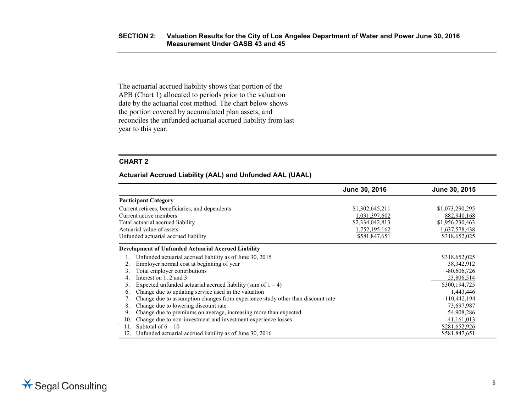The actuarial accrued liability shows that portion of the APB (Chart 1) allocated to periods prior to the valuation date by the actuarial cost method. The chart below shows the portion covered by accumulated plan assets, and reconciles the unfunded actuarial accrued liability from last year to this year.

# **CHART 2**

### **Actuarial Accrued Liability (AAL) and Unfunded AAL (UAAL)**

|                                                                                 | June 30, 2016   | June 30, 2015   |
|---------------------------------------------------------------------------------|-----------------|-----------------|
| <b>Participant Category</b>                                                     |                 |                 |
| Current retirees, beneficiaries, and dependents                                 | \$1,302,645,211 | \$1,073,290,295 |
| Current active members                                                          | 1,031,397,602   | 882,940,168     |
| Total actuarial accrued liability                                               | \$2,334,042,813 | \$1,956,230,463 |
| Actuarial value of assets                                                       | 1,752,195,162   | 1,637,578,438   |
| Unfunded actuarial accrued liability                                            | \$581,847,651   | \$318,652,025   |
| <b>Development of Unfunded Actuarial Accrued Liability</b>                      |                 |                 |
| Unfunded actuarial accrued liability as of June 30, 2015                        |                 | \$318,652,025   |
| Employer normal cost at beginning of year                                       |                 | 38, 342, 912    |
| Total employer contributions                                                    |                 | $-80,606,726$   |
| Interest on 1, 2 and 3<br>4.                                                    |                 | 23,806,514      |
| Expected unfunded actuarial accrued liability (sum of $1 - 4$ )                 |                 | \$300,194,725   |
| Change due to updating service used in the valuation<br>6.                      |                 | 1,443,446       |
| Change due to assumption changes from experience study other than discount rate |                 | 110,442,194     |
| Change due to lowering discount rate<br>8.                                      |                 | 73,697,987      |
| Change due to premiums on average, increasing more than expected<br>9.          |                 | 54,908,286      |
| Change due to non-investment and investment experience losses<br>10.            |                 | 41,161,013      |
| Subtotal of $6 - 10$<br>11.                                                     |                 | \$281,652,926   |
| Unfunded actuarial accrued liability as of June 30, 2016                        |                 | \$581,847,651   |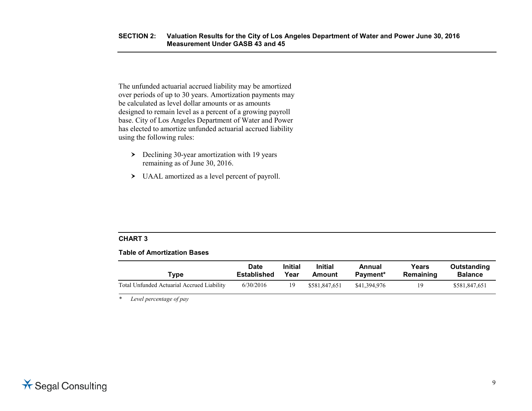The unfunded actuarial accrued liability may be amortized over periods of up to 30 years. Amortization payments may be calculated as level dollar amounts or as amounts designed to remain level as a percent of a growing payroll base. City of Los Angeles Department of Water and Power has elected to amortize unfunded actuarial accrued liability using the following rules:

- $\geq$  Declining 30-year amortization with 19 years remaining as of June 30, 2016.
- UAAL amortized as a level percent of payroll.

# **CHART 3**

### **Table of Amortization Bases**

| Type                                       | <b>Date</b>        | <b>Initial</b> | <b>Initial</b> | Annual       | Years     | Outstanding    |
|--------------------------------------------|--------------------|----------------|----------------|--------------|-----------|----------------|
|                                            | <b>Established</b> | Year           | Amount         | Payment*     | Remaining | <b>Balance</b> |
| Total Unfunded Actuarial Accrued Liability | 6/30/2016          | 19             | \$581,847,651  | \$41,394,976 | 19        | \$581,847,651  |

*\* Level percentage of pay*

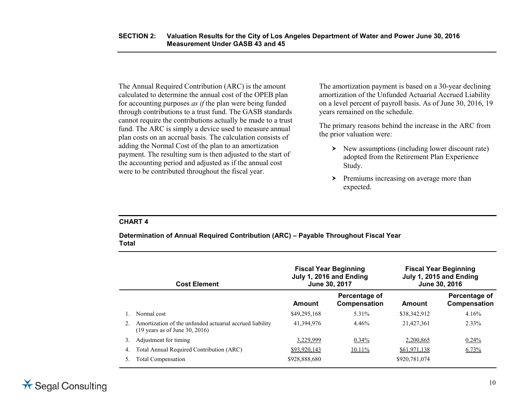The Annual Required Contribution (ARC) is the amount calculated to determine the annual cost of the OPEB plan for accounting purposes *as if* the plan were being funded through contributions to a trust fund. The GASB standards cannot require the contributions actually be made to a trust fund. The ARC is simply a device used to measure annual plan costs on an accrual basis. The calculation consists of adding the Normal Cost of the plan to an amortization payment. The resulting sum is then adjusted to the start of the accounting period and adjusted as if the annual cost were to be contributed throughout the fiscal year.

The amortization payment is based on a 30-year declining amortization of the Unfunded Actuarial Accrued Liability on a level percent of payroll basis. As of June 30, 2016, 19 years remained on the schedule.

The primary reasons behind the increase in the ARC from the prior valuation were:

- $\triangleright$  New assumptions (including lower discount rate) adopted from the Retirement Plan Experience Study.
- $\triangleright$  Premiums increasing on average more than expected.

### **CHART 4**

**Determination of Annual Required Contribution (ARC) – Payable Throughout Fiscal Year Total**

| <b>Cost Element</b> |                                                                                                       |               | <b>Fiscal Year Beginning</b><br>July 1, 2016 and Ending<br>June 30, 2017 | <b>Fiscal Year Beginning</b><br>July 1, 2015 and Ending<br>June 30, 2016 |                               |
|---------------------|-------------------------------------------------------------------------------------------------------|---------------|--------------------------------------------------------------------------|--------------------------------------------------------------------------|-------------------------------|
|                     |                                                                                                       | Amount        | Percentage of<br>Compensation                                            | Amount                                                                   | Percentage of<br>Compensation |
|                     | Normal cost                                                                                           | \$49,295,168  | 5.31%                                                                    | \$38,342,912                                                             | 4.16%                         |
|                     | Amortization of the unfunded actuarial accrued liability<br>$(19 \text{ years as of June } 30, 2016)$ | 41,394,976    | 4.46%                                                                    | 21,427,361                                                               | 2.33%                         |
| 3.                  | Adjustment for timing                                                                                 | 3,229,999     | $0.34\%$                                                                 | 2,200,865                                                                | 0.24%                         |
| 4.                  | Total Annual Required Contribution (ARC)                                                              | \$93,920,143  | $10.11\%$                                                                | \$61,971,138                                                             | $6.73\%$                      |
|                     | Total Compensation                                                                                    | \$928,888,680 |                                                                          | \$920,781,074                                                            |                               |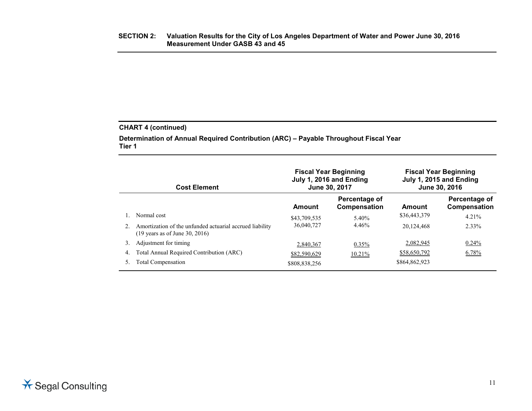# **CHART 4 (continued)**

**Determination of Annual Required Contribution (ARC) – Payable Throughout Fiscal Year Tier 1**

| <b>Cost Element</b> |                                                                                                       |               | <b>Fiscal Year Beginning</b><br>July 1, 2016 and Ending<br>June 30, 2017 | <b>Fiscal Year Beginning</b><br>July 1, 2015 and Ending<br>June 30, 2016 |                               |
|---------------------|-------------------------------------------------------------------------------------------------------|---------------|--------------------------------------------------------------------------|--------------------------------------------------------------------------|-------------------------------|
|                     |                                                                                                       | Amount        | Percentage of<br>Compensation                                            | Amount                                                                   | Percentage of<br>Compensation |
|                     | Normal cost                                                                                           | \$43,709,535  | 5.40%                                                                    | \$36,443,379                                                             | 4.21%                         |
|                     | Amortization of the unfunded actuarial accrued liability<br>$(19 \text{ years as of June } 30, 2016)$ | 36,040,727    | 4.46%                                                                    | 20,124,468                                                               | 2.33%                         |
| 3.                  | Adjustment for timing                                                                                 | 2,840,367     | $0.35\%$                                                                 | 2.082,945                                                                | 0.24%                         |
| 4.                  | Total Annual Required Contribution (ARC)                                                              | \$82,590,629  | 10.21%                                                                   | \$58,650,792                                                             | 6.78%                         |
|                     | Total Compensation                                                                                    | \$808,838,256 |                                                                          | \$864,862,923                                                            |                               |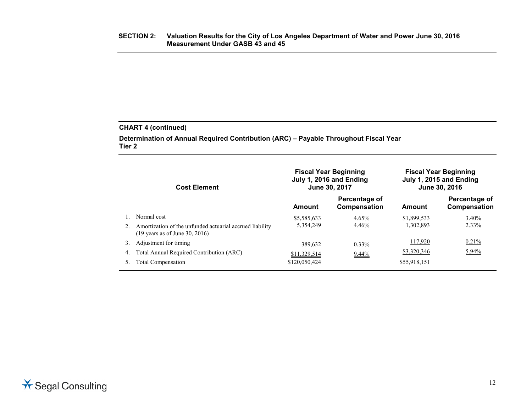# **CHART 4 (continued)**

**Determination of Annual Required Contribution (ARC) – Payable Throughout Fiscal Year Tier 2**

| <b>Cost Element</b> |                                                                                                                      |                                          | <b>Fiscal Year Beginning</b><br>July 1, 2016 and Ending<br>June 30, 2017 | <b>Fiscal Year Beginning</b><br>July 1, 2015 and Ending<br>June 30, 2016 |                               |
|---------------------|----------------------------------------------------------------------------------------------------------------------|------------------------------------------|--------------------------------------------------------------------------|--------------------------------------------------------------------------|-------------------------------|
|                     |                                                                                                                      | Amount                                   | Percentage of<br>Compensation                                            | Amount                                                                   | Percentage of<br>Compensation |
|                     | Normal cost<br>Amortization of the unfunded actuarial accrued liability<br>$(19 \text{ years as of June } 30, 2016)$ | \$5,585,633<br>5,354,249                 | 4.65%<br>4.46%                                                           | \$1,899,533<br>1,302,893                                                 | 3.40%<br>2.33%                |
| 3.<br>4.<br>5.      | Adjustment for timing<br>Total Annual Required Contribution (ARC)<br>Total Compensation                              | 389,632<br>\$11,329,514<br>\$120,050,424 | $0.33\%$<br>$9.44\%$                                                     | 117,920<br>\$3,320,346<br>\$55,918,151                                   | 0.21%<br>5.94%                |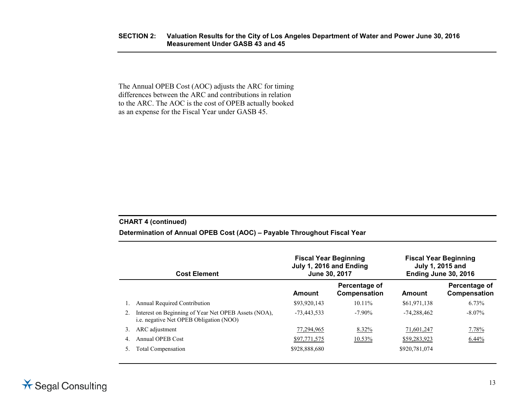### **SECTION 2: Valuation Results for the City of Los Angeles Department of Water and Power June 30, 2016 Measurement Under GASB 43 and 45**

The Annual OPEB Cost (AOC) adjusts the ARC for timing differences between the ARC and contributions in relation to the ARC. The AOC is the cost of OPEB actually booked as an expense for the Fiscal Year under GASB 45.

### **CHART 4 (continued)**

# **Determination of Annual OPEB Cost (AOC) – Payable Throughout Fiscal Year**

| <b>Cost Element</b> |                                                                                                        | July 1, 2016 and Ending<br>June 30, 2017 | <b>Fiscal Year Beginning</b>  | <b>Fiscal Year Beginning</b><br>July 1, 2015 and<br>Ending June 30, 2016 |                               |
|---------------------|--------------------------------------------------------------------------------------------------------|------------------------------------------|-------------------------------|--------------------------------------------------------------------------|-------------------------------|
|                     |                                                                                                        | Amount                                   | Percentage of<br>Compensation | Amount                                                                   | Percentage of<br>Compensation |
|                     | Annual Required Contribution                                                                           | \$93,920,143                             | $10.11\%$                     | \$61,971,138                                                             | 6.73%                         |
| 2.                  | Interest on Beginning of Year Net OPEB Assets (NOA),<br><i>i.e.</i> negative Net OPEB Obligation (NOO) | $-73.443.533$                            | $-7.90\%$                     | $-74.288.462$                                                            | $-8.07\%$                     |
|                     | ARC adjustment                                                                                         | 77,294,965                               | 8.32%                         | 71,601,247                                                               | 7.78%                         |
| 4.                  | Annual OPEB Cost                                                                                       | \$97,771,575                             | 10.53%                        | \$59,283,923                                                             | $6.44\%$                      |
|                     | <b>Total Compensation</b>                                                                              | \$928,888,680                            |                               | \$920,781,074                                                            |                               |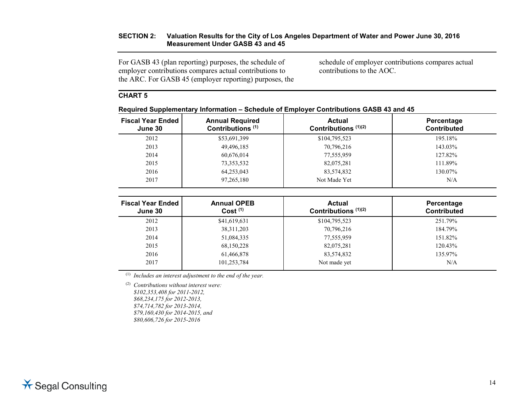## **SECTION 2: Valuation Results for the City of Los Angeles Department of Water and Power June 30, 2016 Measurement Under GASB 43 and 45**

For GASB 43 (plan reporting) purposes, the schedule of employer contributions compares actual contributions to the ARC. For GASB 45 (employer reporting) purposes, the schedule of employer contributions compares actual contributions to the AOC.

# **CHART 5**

| . .                                 |                                                        |                                         |                                  |
|-------------------------------------|--------------------------------------------------------|-----------------------------------------|----------------------------------|
| <b>Fiscal Year Ended</b><br>June 30 | <b>Annual Required</b><br>Contributions <sup>(1)</sup> | <b>Actual</b><br>Contributions $(1)(2)$ | Percentage<br><b>Contributed</b> |
| 2012                                | \$53,691,399                                           | \$104,795,523                           | 195.18%                          |
| 2013                                | 49,496,185                                             | 70,796,216                              | 143.03%                          |
| 2014                                | 60,676,014                                             | 77,555,959                              | 127.82%                          |
| 2015                                | 73,353,532                                             | 82,075,281                              | 111.89%                          |
| 2016                                | 64,253,043                                             | 83,574,832                              | 130.07%                          |
| 2017                                | 97,265,180                                             | Not Made Yet                            | N/A                              |

**Required Supplementary Information – Schedule of Employer Contributions GASB 43 and 45**

| <b>Fiscal Year Ended</b><br>June 30 | <b>Annual OPEB</b><br>Cost <sup>(1)</sup> | <b>Actual</b><br>Contributions $(1)(2)$ | Percentage<br><b>Contributed</b> |
|-------------------------------------|-------------------------------------------|-----------------------------------------|----------------------------------|
| 2012                                | \$41,619,631                              | \$104,795,523                           | 251.79%                          |
| 2013                                | 38, 311, 203                              | 70,796,216                              | 184.79%                          |
| 2014                                | 51,084,335                                | 77,555,959                              | 151.82%                          |
| 2015                                | 68,150,228                                | 82,075,281                              | 120.43%                          |
| 2016                                | 61,466,878                                | 83,574,832                              | 135.97%                          |
| 2017                                | 101,253,784                               | Not made yet                            | N/A                              |

(1) *Includes an interest adjustment to the end of the year.*

(2) *Contributions without interest were: \$102,353,408 for 2011-2012, \$68,234,175 for 2012-2013, \$74,714,782 for 2013-2014, \$79,160,430 for 2014-2015, and \$80,606,726 for 2015-2016*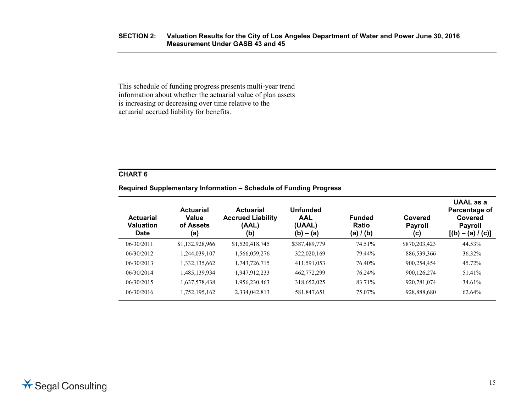This schedule of funding progress presents multi-year trend information about whether the actuarial value of plan assets is increasing or decreasing over time relative to the actuarial accrued liability for benefits.

# **CHART 6**

# **Required Supplementary Information – Schedule of Funding Progress**

| <b>Actuarial</b><br>Valuation<br><b>Date</b> | <b>Actuarial</b><br>Value<br>of Assets<br>(a) | <b>Actuarial</b><br><b>Accrued Liability</b><br>(AAL)<br>(b) | <b>Unfunded</b><br><b>AAL</b><br>(UAAL)<br>$(b) - (a)$ | <b>Funded</b><br>Ratio<br>(a) $/$ (b) | Covered<br><b>Payroll</b><br>(c) | UAAL as a<br>Percentage of<br>Covered<br><b>Payroll</b><br>$[(b) - (a) / (c)]$ |
|----------------------------------------------|-----------------------------------------------|--------------------------------------------------------------|--------------------------------------------------------|---------------------------------------|----------------------------------|--------------------------------------------------------------------------------|
| 06/30/2011                                   | \$1,132,928,966                               | \$1,520,418,745                                              | \$387,489,779                                          | 74.51%                                | \$870,203,423                    | 44.53%                                                                         |
| 06/30/2012                                   | 1,244,039,107                                 | 1,566,059,276                                                | 322,020,169                                            | 79.44%                                | 886,539,366                      | 36.32%                                                                         |
| 06/30/2013                                   | 1,332,135,662                                 | 1,743,726,715                                                | 411,591,053                                            | 76.40%                                | 900,254,454                      | 45.72%                                                                         |
| 06/30/2014                                   | 1,485,139,934                                 | 1,947,912,233                                                | 462,772,299                                            | 76.24%                                | 900,126,274                      | 51.41%                                                                         |
| 06/30/2015                                   | 1,637,578,438                                 | 1,956,230,463                                                | 318,652,025                                            | 83.71%                                | 920,781,074                      | 34.61%                                                                         |
| 06/30/2016                                   | 1,752,195,162                                 | 2,334,042,813                                                | 581,847,651                                            | 75.07%                                | 928,888,680                      | 62.64%                                                                         |
|                                              |                                               |                                                              |                                                        |                                       |                                  |                                                                                |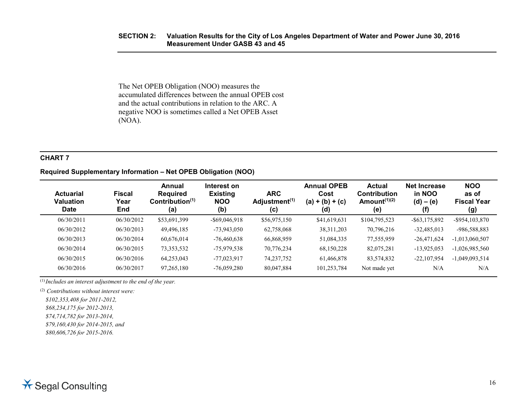### **SECTION 2: Valuation Results for the City of Los Angeles Department of Water and Power June 30, 2016 Measurement Under GASB 43 and 45**

The Net OPEB Obligation (NOO) measures the accumulated differences between the annual OPEB cost and the actual contributions in relation to the ARC. A negative NOO is sometimes called a Net OPEB Asset (NOA).

# **CHART 7**

## **Required Supplementary Information – Net OPEB Obligation (NOO)**

| <b>Actuarial</b><br><b>Valuation</b><br><b>Date</b> | <b>Fiscal</b><br>Year<br>End | Annual<br><b>Required</b><br>Contribution <sup>(1)</sup><br>(a) | Interest on<br><b>Existing</b><br><b>NOO</b><br>(b) | <b>ARC</b><br>Adjustment <sup>(1)</sup><br>(c) | <b>Annual OPEB</b><br>Cost<br>$(a) + (b) + (c)$<br>(d) | Actual<br><b>Contribution</b><br>Amount $(1)(2)$<br>(e) | <b>Net Increase</b><br>in NOO<br>$(d) - (e)$<br>(f) | <b>NOO</b><br>as of<br><b>Fiscal Year</b><br>(g) |
|-----------------------------------------------------|------------------------------|-----------------------------------------------------------------|-----------------------------------------------------|------------------------------------------------|--------------------------------------------------------|---------------------------------------------------------|-----------------------------------------------------|--------------------------------------------------|
| 06/30/2011                                          | 06/30/2012                   | \$53,691,399                                                    | $-$ \$69,046,918                                    | \$56,975,150                                   | \$41,619,631                                           | \$104,795,523                                           | $-$ \$63,175,892                                    | $-$ \$954,103,870                                |
| 06/30/2012                                          | 06/30/2013                   | 49,496,185                                                      | $-73,943,050$                                       | 62,758,068                                     | 38, 311, 203                                           | 70,796,216                                              | $-32,485,013$                                       | -986,588,883                                     |
| 06/30/2013                                          | 06/30/2014                   | 60.676.014                                                      | $-76,460,638$                                       | 66,868,959                                     | 51,084,335                                             | 77,555,959                                              | $-26,471,624$                                       | $-1,013,060,507$                                 |
| 06/30/2014                                          | 06/30/2015                   | 73, 353, 532                                                    | -75,979,538                                         | 70.776.234                                     | 68,150,228                                             | 82,075,281                                              | $-13,925,053$                                       | $-1,026,985,560$                                 |
| 06/30/2015                                          | 06/30/2016                   | 64,253,043                                                      | $-77,023,917$                                       | 74, 237, 752                                   | 61,466,878                                             | 83,574,832                                              | $-22,107,954$                                       | $-1,049,093,514$                                 |
| 06/30/2016                                          | 06/30/2017                   | 97,265,180                                                      | $-76,059,280$                                       | 80,047,884                                     | 101,253,784                                            | Not made yet                                            | N/A                                                 | N/A                                              |

(1) *Includes an interest adjustment to the end of the year.*

(2) *Contributions without interest were:*

*\$102,353,408 for 2011-2012,*

*\$68,234,175 for 2012-2013,* 

*\$74,714,782 for 2013-2014,* 

*\$79,160,430 for 2014-2015, and*

*\$80,606,726 for 2015-2016.*

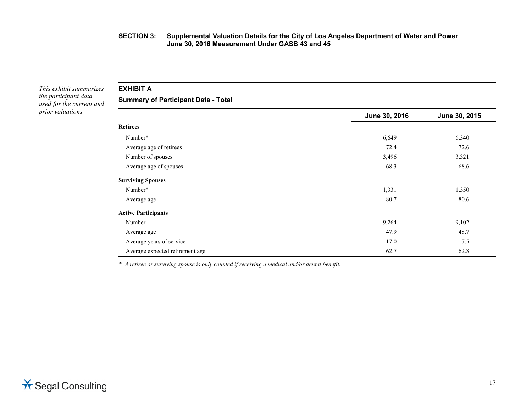*This exhibit summarizes the participant data used for the current and prior valuations.*

# **EXHIBIT A**

**Summary of Participant Data - Total**

|                                 | June 30, 2016 | June 30, 2015 |
|---------------------------------|---------------|---------------|
| <b>Retirees</b>                 |               |               |
| Number*                         | 6,649         | 6,340         |
| Average age of retirees         | 72.4          | 72.6          |
| Number of spouses               | 3,496         | 3,321         |
| Average age of spouses          | 68.3          | 68.6          |
| <b>Surviving Spouses</b>        |               |               |
| Number*                         | 1,331         | 1,350         |
| Average age                     | 80.7          | 80.6          |
| <b>Active Participants</b>      |               |               |
| Number                          | 9,264         | 9,102         |
| Average age                     | 47.9          | 48.7          |
| Average years of service        | 17.0          | 17.5          |
| Average expected retirement age | 62.7          | 62.8          |

*\* A retiree or surviving spouse is only counted if receiving a medical and/or dental benefit.*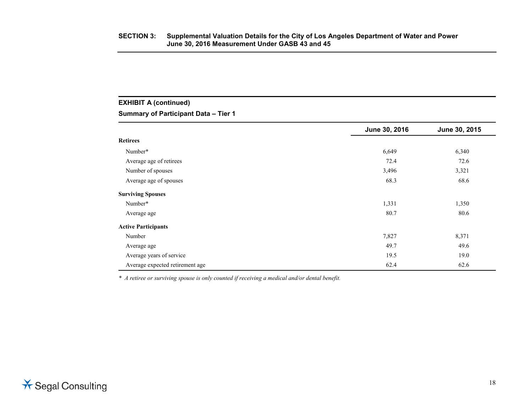# **EXHIBIT A (continued)**

**Summary of Participant Data – Tier 1**

|                                 | June 30, 2016 | June 30, 2015 |
|---------------------------------|---------------|---------------|
| <b>Retirees</b>                 |               |               |
| Number*                         | 6,649         | 6,340         |
| Average age of retirees         | 72.4          | 72.6          |
| Number of spouses               | 3,496         | 3,321         |
| Average age of spouses          | 68.3          | 68.6          |
| <b>Surviving Spouses</b>        |               |               |
| Number*                         | 1,331         | 1,350         |
| Average age                     | 80.7          | 80.6          |
| <b>Active Participants</b>      |               |               |
| Number                          | 7,827         | 8,371         |
| Average age                     | 49.7          | 49.6          |
| Average years of service        | 19.5          | 19.0          |
| Average expected retirement age | 62.4          | 62.6          |

*\* A retiree or surviving spouse is only counted if receiving a medical and/or dental benefit.*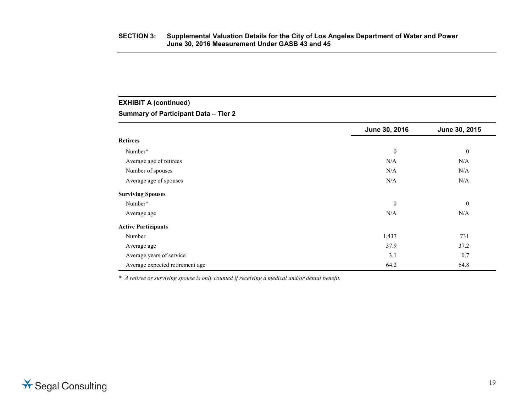# **EXHIBIT A (continued)**

# **Summary of Participant Data – Tier 2**

|                                 | June 30, 2016    | June 30, 2015    |
|---------------------------------|------------------|------------------|
| <b>Retirees</b>                 |                  |                  |
| Number*                         | $\boldsymbol{0}$ | $\boldsymbol{0}$ |
| Average age of retirees         | N/A              | N/A              |
| Number of spouses               | N/A              | N/A              |
| Average age of spouses          | N/A              | N/A              |
| <b>Surviving Spouses</b>        |                  |                  |
| Number*                         | $\mathbf{0}$     | $\mathbf{0}$     |
| Average age                     | N/A              | N/A              |
| <b>Active Participants</b>      |                  |                  |
| Number                          | 1,437            | 731              |
| Average age                     | 37.9             | 37.2             |
| Average years of service        | 3.1              | 0.7              |
| Average expected retirement age | 64.2             | 64.8             |

*\* A retiree or surviving spouse is only counted if receiving a medical and/or dental benefit.*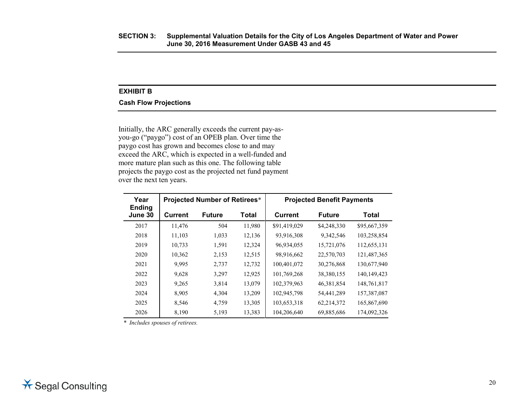# **EXHIBIT B**

### **Cash Flow Projections**

Initially, the ARC generally exceeds the current pay-asyou-go ("paygo") cost of an OPEB plan. Over time the paygo cost has grown and becomes close to and may exceed the ARC, which is expected in a well-funded and more mature plan such as this one. The following table projects the paygo cost as the projected net fund payment over the next ten years.

| Year<br><b>Ending</b> | <b>Projected Number of Retirees*</b> |               |        | <b>Projected Benefit Payments</b> |               |               |
|-----------------------|--------------------------------------|---------------|--------|-----------------------------------|---------------|---------------|
| June 30               | <b>Current</b>                       | <b>Future</b> | Total  | <b>Current</b>                    | <b>Future</b> | Total         |
| 2017                  | 11,476                               | 504           | 11,980 | \$91,419,029                      | \$4,248,330   | \$95,667,359  |
| 2018                  | 11,103                               | 1,033         | 12,136 | 93,916,308                        | 9,342,546     | 103,258,854   |
| 2019                  | 10,733                               | 1,591         | 12,324 | 96,934,055                        | 15,721,076    | 112,655,131   |
| 2020                  | 10,362                               | 2,153         | 12,515 | 98,916,662                        | 22,570,703    | 121,487,365   |
| 2021                  | 9.995                                | 2,737         | 12,732 | 100,401,072                       | 30,276,868    | 130,677,940   |
| 2022                  | 9,628                                | 3,297         | 12,925 | 101,769,268                       | 38,380,155    | 140, 149, 423 |
| 2023                  | 9,265                                | 3.814         | 13,079 | 102,379,963                       | 46,381,854    | 148,761,817   |
| 2024                  | 8,905                                | 4.304         | 13,209 | 102,945,798                       | 54,441,289    | 157,387,087   |
| 2025                  | 8,546                                | 4,759         | 13,305 | 103,653,318                       | 62,214,372    | 165,867,690   |
| 2026                  | 8.190                                | 5.193         | 13.383 | 104.206.640                       | 69.885,686    | 174,092,326   |

*\* Includes spouses of retirees.*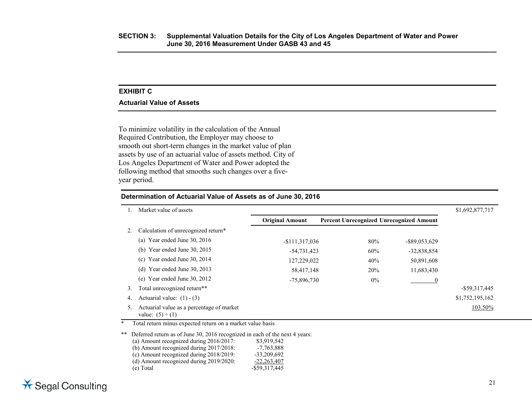# **EXHIBIT C**

### **Actuarial Value of Assets**

To minimize volatility in the calculation of the Annual Required Contribution, the Employer may choose to smooth out short-term changes in the market value of plan assets by use of an actuarial value of assets method. City of Los Angeles Department of Water and Power adopted the following method that smooths such changes over a fiveyear period.

### **Determination of Actuarial Value of Assets as of June 30, 2016**

|    | Market value of assets                                             |                        |                                                 |                  | \$1,692,877,717  |
|----|--------------------------------------------------------------------|------------------------|-------------------------------------------------|------------------|------------------|
|    |                                                                    | <b>Original Amount</b> | <b>Percent Unrecognized Unrecognized Amount</b> |                  |                  |
|    | Calculation of unrecognized return*                                |                        |                                                 |                  |                  |
|    | (a) Year ended June $30, 2016$                                     | $-$111,317,036$        | 80%                                             | $-$ \$89,053,629 |                  |
|    | (b) Year ended June $30, 2015$                                     | $-54,731,423$          | 60%                                             | $-32,838,854$    |                  |
|    | (c) Year ended June 30, 2014                                       | 127,229,022            | 40%                                             | 50,891,608       |                  |
|    | (d) Year ended June $30, 2013$                                     | 58,417,148             | 20%                                             | 11,683,430       |                  |
|    | (e) Year ended June $30, 2012$                                     | $-75,896,730$          | $0\%$                                           | 0                |                  |
| 3. | Total unrecognized return**                                        |                        |                                                 |                  | $-$ \$59,317,445 |
| 4. | Actuarial value: $(1) - (3)$                                       |                        |                                                 |                  | \$1,752,195,162  |
| 5. | Actuarial value as a percentage of market<br>value: $(5) \div (1)$ |                        |                                                 |                  | 103.50%          |

\* Total return minus expected return on a market value basis

\*\* Deferred return as of June 30, 2016 recognized in each of the next 4 years:<br>(a) Amount recognized during 2016/2017: \$3,919,542 (a) Amount recognized during  $2016/2017$ : (b) Amount recognized during 2017/2018: -7,763,888 (c) Amount recognized during 2018/2019:  $-33,209,692$ <br>(d) Amount recognized during 2019/2020:  $-22,263,407$  $(d)$  Amount recognized during 2019/2020: (e) Total -\$59,317,445

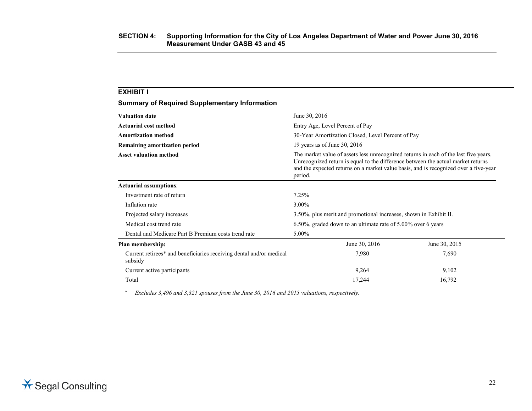| <b>Summary of Required Supplementary Information</b>                           |                                                                                                                                                                                                                                                                             |               |  |
|--------------------------------------------------------------------------------|-----------------------------------------------------------------------------------------------------------------------------------------------------------------------------------------------------------------------------------------------------------------------------|---------------|--|
| <b>Valuation date</b>                                                          | June 30, 2016                                                                                                                                                                                                                                                               |               |  |
| Actuarial cost method                                                          | Entry Age, Level Percent of Pay                                                                                                                                                                                                                                             |               |  |
| <b>Amortization method</b>                                                     | 30-Year Amortization Closed, Level Percent of Pay                                                                                                                                                                                                                           |               |  |
| Remaining amortization period                                                  | 19 years as of June 30, $2016$                                                                                                                                                                                                                                              |               |  |
| <b>Asset valuation method</b>                                                  | The market value of assets less unrecognized returns in each of the last five years.<br>Unrecognized return is equal to the difference between the actual market returns<br>and the expected returns on a market value basis, and is recognized over a five-year<br>period. |               |  |
| <b>Actuarial assumptions:</b>                                                  |                                                                                                                                                                                                                                                                             |               |  |
| Investment rate of return                                                      | 7.25%                                                                                                                                                                                                                                                                       |               |  |
| Inflation rate                                                                 | 3.00%                                                                                                                                                                                                                                                                       |               |  |
| Projected salary increases                                                     | 3.50%, plus merit and promotional increases, shown in Exhibit II.                                                                                                                                                                                                           |               |  |
| Medical cost trend rate                                                        | 6.50%, graded down to an ultimate rate of 5.00% over 6 years                                                                                                                                                                                                                |               |  |
| Dental and Medicare Part B Premium costs trend rate                            | 5.00%                                                                                                                                                                                                                                                                       |               |  |
| Plan membership:                                                               | June 30, 2016                                                                                                                                                                                                                                                               | June 30, 2015 |  |
| Current retirees* and beneficiaries receiving dental and/or medical<br>subsidy | 7,980                                                                                                                                                                                                                                                                       | 7,690         |  |
| Current active participants                                                    | 9,264                                                                                                                                                                                                                                                                       | 9,102         |  |
| Total                                                                          | 17,244                                                                                                                                                                                                                                                                      | 16,792        |  |

*\* Excludes 3,496 and 3,321 spouses from the June 30, 2016 and 2015 valuations, respectively.*

**EXHIBIT I**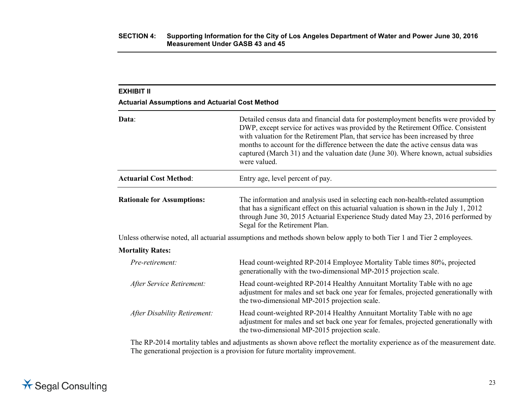| Data:                             | Detailed census data and financial data for postemployment benefits were provided by<br>DWP, except service for actives was provided by the Retirement Office. Consistent<br>with valuation for the Retirement Plan, that service has been increased by three<br>months to account for the difference between the date the active census data was<br>captured (March 31) and the valuation date (June 30). Where known, actual subsidies<br>were valued. |
|-----------------------------------|----------------------------------------------------------------------------------------------------------------------------------------------------------------------------------------------------------------------------------------------------------------------------------------------------------------------------------------------------------------------------------------------------------------------------------------------------------|
| <b>Actuarial Cost Method:</b>     | Entry age, level percent of pay.                                                                                                                                                                                                                                                                                                                                                                                                                         |
| <b>Rationale for Assumptions:</b> | The information and analysis used in selecting each non-health-related assumption<br>that has a significant effect on this actuarial valuation is shown in the July 1, 2012<br>through June 30, 2015 Actuarial Experience Study dated May 23, 2016 performed by<br>Segal for the Retirement Plan.                                                                                                                                                        |
|                                   | Unless otherwise noted, all actuarial assumptions and methods shown below apply to both Tier 1 and Tier 2 employees.                                                                                                                                                                                                                                                                                                                                     |
| <b>Mortality Rates:</b>           |                                                                                                                                                                                                                                                                                                                                                                                                                                                          |
| Pre-retirement:                   | Head count-weighted RP-2014 Employee Mortality Table times 80%, projected<br>generationally with the two-dimensional MP-2015 projection scale.                                                                                                                                                                                                                                                                                                           |
| After Service Retirement:         | Head count-weighted RP-2014 Healthy Annuitant Mortality Table with no age<br>adjustment for males and set back one year for females, projected generationally with<br>the two-dimensional MP-2015 projection scale.                                                                                                                                                                                                                                      |
| After Disability Retirement:      | Head count-weighted RP-2014 Healthy Annuitant Mortality Table with no age<br>adjustment for males and set back one year for females, projected generationally with<br>the two-dimensional MP-2015 projection scale.                                                                                                                                                                                                                                      |

The RP-2014 mortality tables and adjustments as shown above reflect the mortality experience as of the measurement date. The generational projection is a provision for future mortality improvement.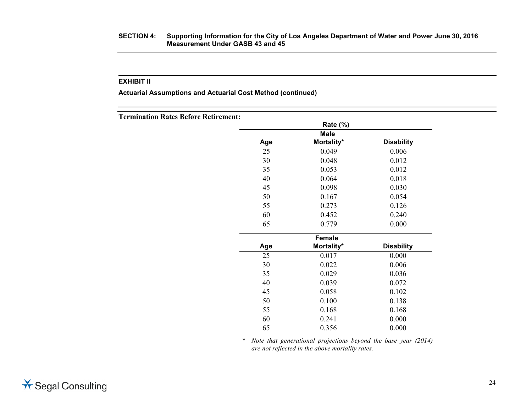### **SECTION 4: Supporting Information for the City of Los Angeles Department of Water and Power June 30, 2016 Measurement Under GASB 43 and 45**

# **EXHIBIT II**

**Actuarial Assumptions and Actuarial Cost Method (continued)**

**Termination Rates Before Retirement:**

|     | <b>Rate (%)</b>           |                   |
|-----|---------------------------|-------------------|
| Age | <b>Male</b><br>Mortality* | <b>Disability</b> |
| 25  | 0.049                     | 0.006             |
| 30  | 0.048                     | 0.012             |
| 35  | 0.053                     | 0.012             |
| 40  | 0.064                     | 0.018             |
| 45  | 0.098                     | 0.030             |
| 50  | 0.167                     | 0.054             |
| 55  | 0.273                     | 0.126             |
| 60  | 0.452                     | 0.240             |
| 65  | 0.779                     | 0.000             |
|     | <b>Female</b>             |                   |
| Age | Mortality*                | <b>Disability</b> |
| 25  | 0.017                     | 0.000             |
| 30  | 0.022                     | 0.006             |
| 35  | 0.029                     | 0.036             |
| 40  | 0.039                     | 0.072             |
| 45  | 0.058                     | 0.102             |
| 50  | 0.100                     | 0.138             |
| 55  | 0.168                     | 0.168             |
| 60  | 0.241                     | 0.000             |
| 65  | 0.356                     | 0.000             |

\* *Note that generational projections beyond the base year (2014) are not reflected in the above mortality rates.*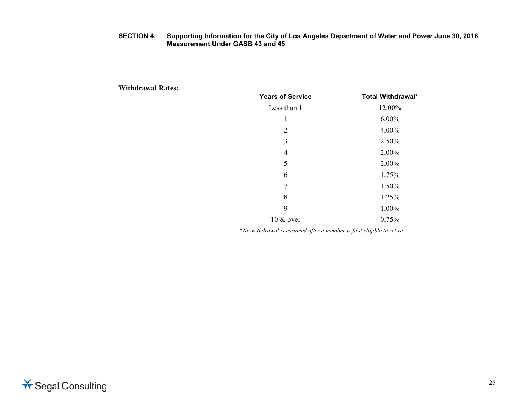# **SECTION 4: Supporting Information for the City of Los Angeles Department of Water and Power June 30, 2016 Measurement Under GASB 43 and 45**

**Withdrawal Rates:**

| <b>Years of Service</b> | <b>Total Withdrawal*</b> |
|-------------------------|--------------------------|
| Less than 1             | 12.00%                   |
| 1                       | $6.00\%$                 |
| 2                       | 4.00%                    |
| 3                       | 2.50%                    |
| 4                       | 2.00%                    |
| 5                       | 2.00%                    |
| 6                       | 1.75%                    |
| 7                       | 1.50%                    |
| 8                       | 1.25%                    |
| 9                       | 1.00%                    |
| $10 \& over$            | 0.75%                    |

\**No withdrawal is assumed after a member is first eligible to retire*

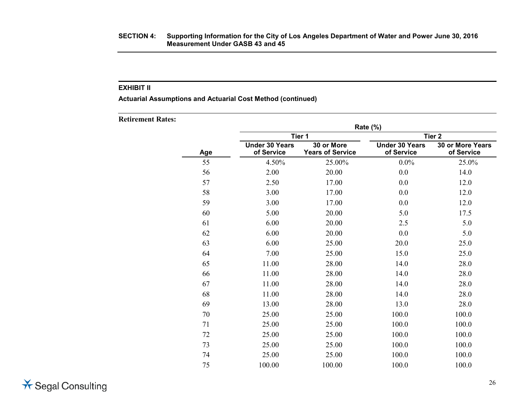**Actuarial Assumptions and Actuarial Cost Method (continued)**

**Retirement Rates:**

|     |                                     | Rate (%)                              |                                     |                                |  |
|-----|-------------------------------------|---------------------------------------|-------------------------------------|--------------------------------|--|
|     |                                     | Tier 1                                | Tier <sub>2</sub>                   |                                |  |
| Age | <b>Under 30 Years</b><br>of Service | 30 or More<br><b>Years of Service</b> | <b>Under 30 Years</b><br>of Service | 30 or More Years<br>of Service |  |
| 55  | 4.50%                               | 25.00%                                | $0.0\%$                             | 25.0%                          |  |
| 56  | 2.00                                | 20.00                                 | 0.0                                 | 14.0                           |  |
| 57  | 2.50                                | 17.00                                 | 0.0                                 | 12.0                           |  |
| 58  | 3.00                                | 17.00                                 | 0.0                                 | 12.0                           |  |
| 59  | 3.00                                | 17.00                                 | 0.0                                 | 12.0                           |  |
| 60  | 5.00                                | 20.00                                 | 5.0                                 | 17.5                           |  |
| 61  | 6.00                                | 20.00                                 | 2.5                                 | 5.0                            |  |
| 62  | 6.00                                | 20.00                                 | 0.0                                 | 5.0                            |  |
| 63  | 6.00                                | 25.00                                 | 20.0                                | 25.0                           |  |
| 64  | 7.00                                | 25.00                                 | 15.0                                | 25.0                           |  |
| 65  | 11.00                               | 28.00                                 | 14.0                                | 28.0                           |  |
| 66  | 11.00                               | 28.00                                 | 14.0                                | 28.0                           |  |
| 67  | 11.00                               | 28.00                                 | 14.0                                | 28.0                           |  |
| 68  | 11.00                               | 28.00                                 | 14.0                                | 28.0                           |  |
| 69  | 13.00                               | 28.00                                 | 13.0                                | 28.0                           |  |
| 70  | 25.00                               | 25.00                                 | 100.0                               | 100.0                          |  |
| 71  | 25.00                               | 25.00                                 | 100.0                               | 100.0                          |  |
| 72  | 25.00                               | 25.00                                 | 100.0                               | 100.0                          |  |
| 73  | 25.00                               | 25.00                                 | 100.0                               | 100.0                          |  |
| 74  | 25.00                               | 25.00                                 | 100.0                               | 100.0                          |  |
| 75  | 100.00                              | 100.00                                | 100.0                               | 100.0                          |  |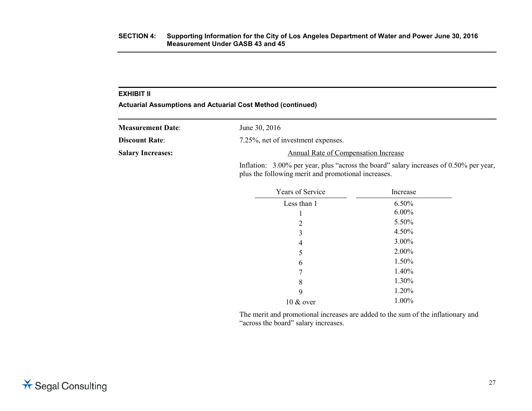**Actuarial Assumptions and Actuarial Cost Method (continued)**

| <b>Measurement Date:</b> | June 30, 2016                                                                                                                                 |
|--------------------------|-----------------------------------------------------------------------------------------------------------------------------------------------|
| <b>Discount Rate:</b>    | 7.25%, net of investment expenses.                                                                                                            |
| <b>Salary Increases:</b> | Annual Rate of Compensation Increase                                                                                                          |
|                          | Inflation: 3.00% per year, plus "across the board" salary increases of 0.50% per year,<br>plus the following merit and promotional increases. |

| Years of Service | Increase |
|------------------|----------|
| Less than 1      | 6.50%    |
| 1                | $6.00\%$ |
| 2                | 5.50%    |
| 3                | 4.50%    |
| 4                | 3.00%    |
| 5                | 2.00%    |
| 6                | 1.50%    |
| 7                | 1.40%    |
| 8                | 1.30%    |
| 9                | 1.20%    |
| $10 \&$ over     | 1.00%    |

The merit and promotional increases are added to the sum of the inflationary and "across the board" salary increases.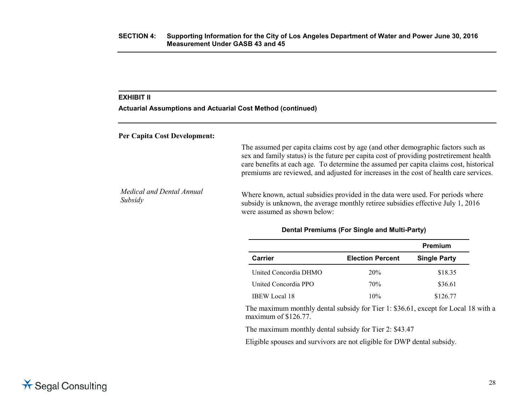**Actuarial Assumptions and Actuarial Cost Method (continued)**

**Per Capita Cost Development:**

The assumed per capita claims cost by age (and other demographic factors such as sex and family status) is the future per capita cost of providing postretirement health care benefits at each age. To determine the assumed per capita claims cost, historical premiums are reviewed, and adjusted for increases in the cost of health care services.

*Medical and Dental Annual Meacal and Dental Annual* Where known, actual subsidies provided in the data were used. For periods where Subsidy<br>Subsidy<br>2016 subsidy is unknown, the average monthly retiree subsidies effective July 1, 2016 were assumed as shown below:

|                       |                         | Premium             |
|-----------------------|-------------------------|---------------------|
| Carrier               | <b>Election Percent</b> | <b>Single Party</b> |
| United Concordia DHMO | 20%                     | \$18.35             |
| United Concordia PPO  | 70%                     | \$36.61             |
| <b>IBEW</b> Local 18  | 10%                     | \$126.77            |

### **Dental Premiums (For Single and Multi-Party)**

The maximum monthly dental subsidy for Tier 1: \$36.61, except for Local 18 with a maximum of \$126.77.

The maximum monthly dental subsidy for Tier 2: \$43.47

Eligible spouses and survivors are not eligible for DWP dental subsidy.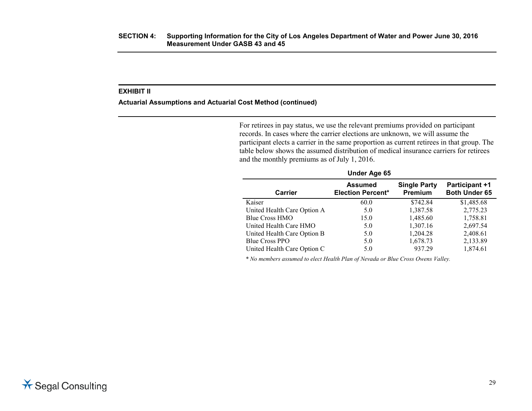### **Actuarial Assumptions and Actuarial Cost Method (continued)**

For retirees in pay status, we use the relevant premiums provided on participant records. In cases where the carrier elections are unknown, we will assume the participant elects a carrier in the same proportion as current retirees in that group. The table below shows the assumed distribution of medical insurance carriers for retirees and the monthly premiums as of July 1, 2016.

| Under Age 65                |                                            |                                |                                               |
|-----------------------------|--------------------------------------------|--------------------------------|-----------------------------------------------|
| Carrier                     | <b>Assumed</b><br><b>Election Percent*</b> | <b>Single Party</b><br>Premium | <b>Participant +1</b><br><b>Both Under 65</b> |
| Kaiser                      | 60.0                                       | \$742.84                       | \$1,485.68                                    |
| United Health Care Option A | 5.0                                        | 1,387.58                       | 2,775.23                                      |
| Blue Cross HMO              | 15.0                                       | 1,485.60                       | 1,758.81                                      |
| United Health Care HMO      | 5.0                                        | 1,307.16                       | 2,697.54                                      |
| United Health Care Option B | 5.0                                        | 1,204.28                       | 2,408.61                                      |
| <b>Blue Cross PPO</b>       | 5.0                                        | 1,678.73                       | 2,133.89                                      |
| United Health Care Option C | 5.0                                        | 937.29                         | 1,874.61                                      |

 *\* No members assumed to elect Health Plan of Nevada or Blue Cross Owens Valley.*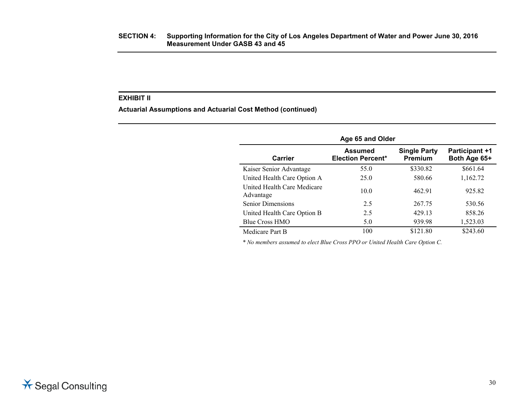**Actuarial Assumptions and Actuarial Cost Method (continued)**

| Age 65 and Older                         |                                     |                                |                                       |
|------------------------------------------|-------------------------------------|--------------------------------|---------------------------------------|
| Carrier                                  | Assumed<br><b>Election Percent*</b> | <b>Single Party</b><br>Premium | <b>Participant +1</b><br>Both Age 65+ |
| Kaiser Senior Advantage                  | 55.0                                | \$330.82                       | \$661.64                              |
| United Health Care Option A              | 25.0                                | 580.66                         | 1,162.72                              |
| United Health Care Medicare<br>Advantage | 10.0                                | 462.91                         | 925.82                                |
| <b>Senior Dimensions</b>                 | 2.5                                 | 267.75                         | 530.56                                |
| United Health Care Option B              | 2.5                                 | 429.13                         | 858.26                                |
| Blue Cross HMO                           | 5.0                                 | 939.98                         | 1,523.03                              |
| Medicare Part B                          | 100                                 | \$121.80                       | \$243.60                              |

 *\* No members assumed to elect Blue Cross PPO or United Health Care Option C.*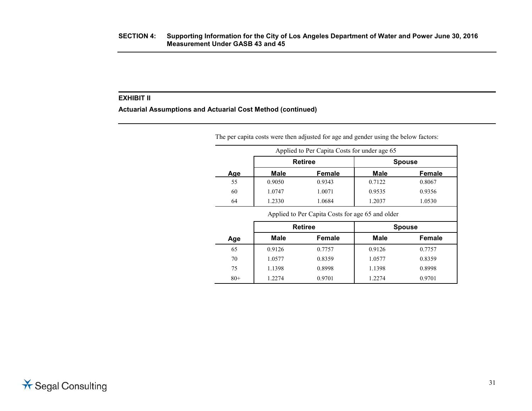**Actuarial Assumptions and Actuarial Cost Method (continued)**

|     |        | The per capita costs were then adjusted for age and gender using the below factors:<br>Applied to Per Capita Costs for under age 65 |             |               |
|-----|--------|-------------------------------------------------------------------------------------------------------------------------------------|-------------|---------------|
|     |        | <b>Retiree</b>                                                                                                                      |             | <b>Spouse</b> |
| Age | Male   | <b>Female</b>                                                                                                                       | <b>Male</b> | Female        |
| 55  | 0.9050 | 0.9343                                                                                                                              | 0.7122      | 0.8067        |
| 60  | 1.0747 | 1.0071                                                                                                                              | 0.9535      | 0.9356        |
| 64  | 1.2330 | 1.0684                                                                                                                              | 1.2037      | 1.0530        |

Applied to Per Capita Costs for age 65 and older

|       | <b>Retiree</b> |               |             | <b>Spouse</b> |
|-------|----------------|---------------|-------------|---------------|
| Age   | <b>Male</b>    | <b>Female</b> | <b>Male</b> | Female        |
| 65    | 0.9126         | 0.7757        | 0.9126      | 0.7757        |
| 70    | 1.0577         | 0.8359        | 1.0577      | 0.8359        |
| 75    | 1.1398         | 0.8998        | 1.1398      | 0.8998        |
| $80+$ | 1.2274         | 0.9701        | 1.2274      | 0.9701        |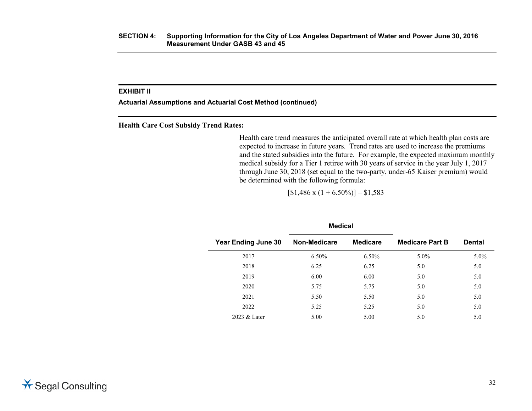**Actuarial Assumptions and Actuarial Cost Method (continued)**

**Health Care Cost Subsidy Trend Rates:**

Health care trend measures the anticipated overall rate at which health plan costs are expected to increase in future years. Trend rates are used to increase the premiums and the stated subsidies into the future. For example, the expected maximum monthly medical subsidy for a Tier 1 retiree with 30 years of service in the year July 1, 2017 through June 30, 2018 (set equal to the two-party, under-65 Kaiser premium) would be determined with the following formula:

 $[$1,486 \times (1 + 6.50\%)] = $1,583$ 

**Medical**

|                            | megical      |                 |                        |               |  |
|----------------------------|--------------|-----------------|------------------------|---------------|--|
| <b>Year Ending June 30</b> | Non-Medicare | <b>Medicare</b> | <b>Medicare Part B</b> | <b>Dental</b> |  |
| 2017                       | 6.50%        | $6.50\%$        | $5.0\%$                | 5.0%          |  |
| 2018                       | 6.25         | 6.25            | 5.0                    | 5.0           |  |
| 2019                       | 6.00         | 6.00            | 5.0                    | 5.0           |  |
| 2020                       | 5.75         | 5.75            | 5.0                    | 5.0           |  |
| 2021                       | 5.50         | 5.50            | 5.0                    | 5.0           |  |
| 2022                       | 5.25         | 5.25            | 5.0                    | 5.0           |  |
| 2023 & Later               | 5.00         | 5.00            | 5.0                    | 5.0           |  |
|                            |              |                 |                        |               |  |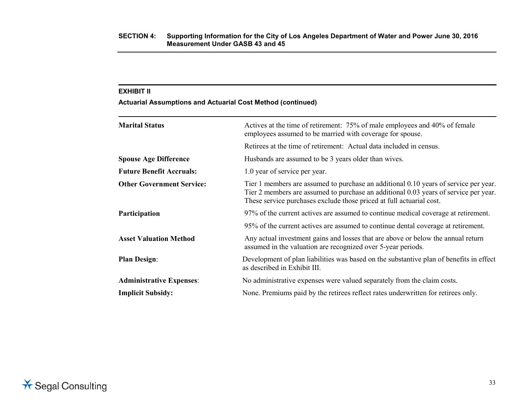**Actuarial Assumptions and Actuarial Cost Method (continued)**

| <b>Marital Status</b>            | Actives at the time of retirement: 75% of male employees and 40% of female<br>employees assumed to be married with coverage for spouse.                                                                                                              |
|----------------------------------|------------------------------------------------------------------------------------------------------------------------------------------------------------------------------------------------------------------------------------------------------|
|                                  | Retirees at the time of retirement: Actual data included in census.                                                                                                                                                                                  |
| <b>Spouse Age Difference</b>     | Husbands are assumed to be 3 years older than wives.                                                                                                                                                                                                 |
| <b>Future Benefit Accruals:</b>  | 1.0 year of service per year.                                                                                                                                                                                                                        |
| <b>Other Government Service:</b> | Tier 1 members are assumed to purchase an additional 0.10 years of service per year.<br>Tier 2 members are assumed to purchase an additional 0.03 years of service per year.<br>These service purchases exclude those priced at full actuarial cost. |
| Participation                    | 97% of the current actives are assumed to continue medical coverage at retirement.                                                                                                                                                                   |
|                                  | 95% of the current actives are assumed to continue dental coverage at retirement.                                                                                                                                                                    |
| <b>Asset Valuation Method</b>    | Any actual investment gains and losses that are above or below the annual return<br>assumed in the valuation are recognized over 5-year periods.                                                                                                     |
| <b>Plan Design:</b>              | Development of plan liabilities was based on the substantive plan of benefits in effect<br>as described in Exhibit III.                                                                                                                              |
| <b>Administrative Expenses:</b>  | No administrative expenses were valued separately from the claim costs.                                                                                                                                                                              |
| <b>Implicit Subsidy:</b>         | None. Premiums paid by the retirees reflect rates underwritten for retirees only.                                                                                                                                                                    |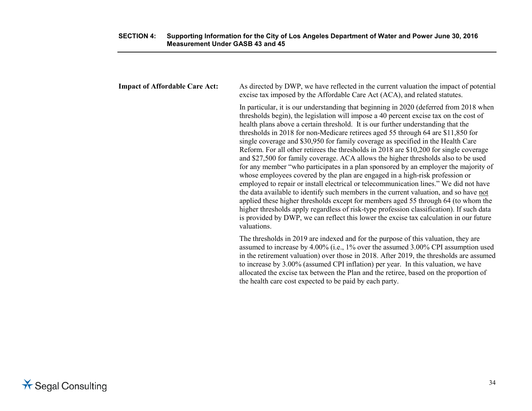| <b>Impact of Affordable Care Act:</b> | As directed by DWP, we have reflected in the current valuation the impact of potential<br>excise tax imposed by the Affordable Care Act (ACA), and related statutes.                                                                                                                                                                                                                                                                                                                                                                                                                                                                                                                                                                                                                                                                                                                                                                                                                                                                                                                                                                                                                                                                                                            |
|---------------------------------------|---------------------------------------------------------------------------------------------------------------------------------------------------------------------------------------------------------------------------------------------------------------------------------------------------------------------------------------------------------------------------------------------------------------------------------------------------------------------------------------------------------------------------------------------------------------------------------------------------------------------------------------------------------------------------------------------------------------------------------------------------------------------------------------------------------------------------------------------------------------------------------------------------------------------------------------------------------------------------------------------------------------------------------------------------------------------------------------------------------------------------------------------------------------------------------------------------------------------------------------------------------------------------------|
|                                       | In particular, it is our understanding that beginning in 2020 (deferred from 2018 when<br>thresholds begin), the legislation will impose a 40 percent excise tax on the cost of<br>health plans above a certain threshold. It is our further understanding that the<br>thresholds in 2018 for non-Medicare retirees aged 55 through 64 are \$11,850 for<br>single coverage and \$30,950 for family coverage as specified in the Health Care<br>Reform. For all other retirees the thresholds in 2018 are \$10,200 for single coverage<br>and \$27,500 for family coverage. ACA allows the higher thresholds also to be used<br>for any member "who participates in a plan sponsored by an employer the majority of<br>whose employees covered by the plan are engaged in a high-risk profession or<br>employed to repair or install electrical or telecommunication lines." We did not have<br>the data available to identify such members in the current valuation, and so have not<br>applied these higher thresholds except for members aged 55 through 64 (to whom the<br>higher thresholds apply regardless of risk-type profession classification). If such data<br>is provided by DWP, we can reflect this lower the excise tax calculation in our future<br>valuations. |
|                                       | The thresholds in 2019 are indexed and for the purpose of this valuation, they are<br>assumed to increase by 4.00% (i.e., 1% over the assumed 3.00% CPI assumption used<br>in the retirement valuation) over those in 2018. After 2019, the thresholds are assumed<br>to increase by 3.00% (assumed CPI inflation) per year. In this valuation, we have                                                                                                                                                                                                                                                                                                                                                                                                                                                                                                                                                                                                                                                                                                                                                                                                                                                                                                                         |

the health care cost expected to be paid by each party.

allocated the excise tax between the Plan and the retiree, based on the proportion of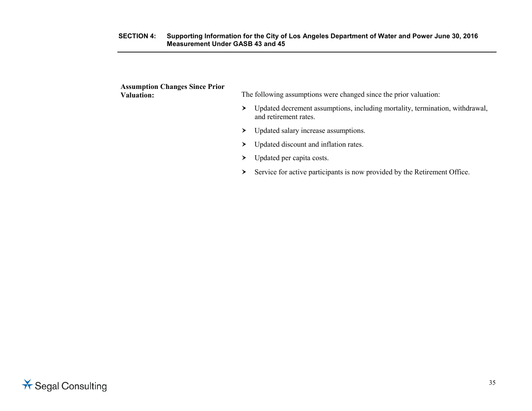| <b>Assumption Changes Since Prior</b><br><b>Valuation:</b> | The following assumptions were changed since the prior valuation:                                          |
|------------------------------------------------------------|------------------------------------------------------------------------------------------------------------|
|                                                            | Updated decrement assumptions, including mortality, termination, withdrawal,<br>≻<br>and retirement rates. |
|                                                            | Updated salary increase assumptions.<br>≻                                                                  |
|                                                            | Updated discount and inflation rates.                                                                      |
|                                                            | Updated per capita costs.                                                                                  |
|                                                            | Service for active participants is now provided by the Retirement Office.                                  |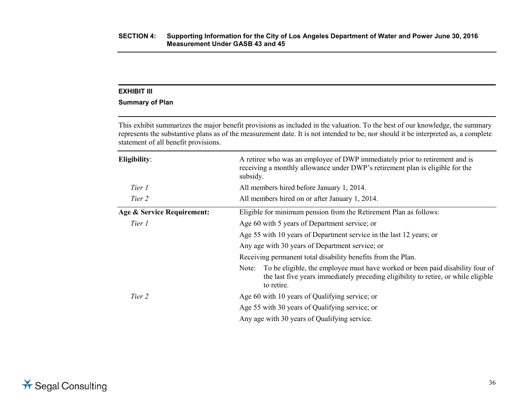# **Summary of Plan**

This exhibit summarizes the major benefit provisions as included in the valuation. To the best of our knowledge, the summary represents the substantive plans as of the measurement date. It is not intended to be, nor should it be interpreted as, a complete statement of all benefit provisions.

| Eligibility:               | A retiree who was an employee of DWP immediately prior to retirement and is<br>receiving a monthly allowance under DWP's retirement plan is eligible for the<br>subsidy.                   |
|----------------------------|--------------------------------------------------------------------------------------------------------------------------------------------------------------------------------------------|
| Tier 1                     | All members hired before January 1, 2014.                                                                                                                                                  |
| Tier 2                     | All members hired on or after January 1, 2014.                                                                                                                                             |
| Age & Service Requirement: | Eligible for minimum pension from the Retirement Plan as follows:                                                                                                                          |
| Tier 1                     | Age 60 with 5 years of Department service; or                                                                                                                                              |
|                            | Age 55 with 10 years of Department service in the last 12 years; or                                                                                                                        |
|                            | Any age with 30 years of Department service; or                                                                                                                                            |
|                            | Receiving permanent total disability benefits from the Plan.                                                                                                                               |
|                            | To be eligible, the employee must have worked or been paid disability four of<br>Note:<br>the last five years immediately preceding eligibility to retire, or while eligible<br>to retire. |
| Tier 2                     | Age 60 with 10 years of Qualifying service; or                                                                                                                                             |
|                            | Age 55 with 30 years of Qualifying service; or                                                                                                                                             |
|                            | Any age with 30 years of Qualifying service.                                                                                                                                               |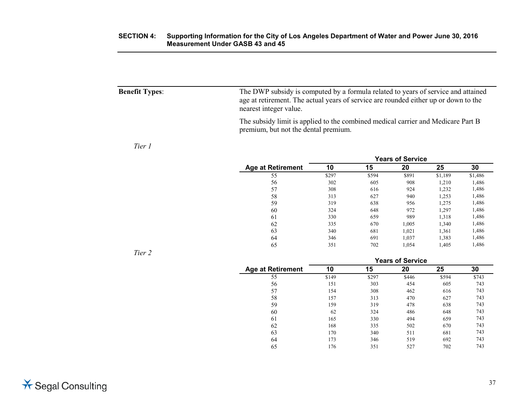| <b>Benefit Types:</b> | The DWP subsidy is computed by a formula related to years of service and attained<br>age at retirement. The actual years of service are rounded either up or down to the<br>nearest integer value. |
|-----------------------|----------------------------------------------------------------------------------------------------------------------------------------------------------------------------------------------------|
|                       | The subsidy limit is applied to the combined medical carrier and Medicare Part B<br>premium, but not the dental premium.                                                                           |

# *Tier 1*

|                          | <b>Years of Service</b> |       |       |         |         |  |
|--------------------------|-------------------------|-------|-------|---------|---------|--|
| <b>Age at Retirement</b> | 10                      | 15    | 20    | 25      | 30      |  |
| 55                       | \$297                   | \$594 | \$891 | \$1,189 | \$1,486 |  |
| 56                       | 302                     | 605   | 908   | 1,210   | 1,486   |  |
| 57                       | 308                     | 616   | 924   | 1,232   | 1,486   |  |
| 58                       | 313                     | 627   | 940   | 1,253   | 1,486   |  |
| 59                       | 319                     | 638   | 956   | 1.275   | 1,486   |  |
| 60                       | 324                     | 648   | 972   | 1,297   | 1,486   |  |
| 61                       | 330                     | 659   | 989   | 1,318   | 1,486   |  |
| 62                       | 335                     | 670   | 1,005 | 1,340   | 1,486   |  |
| 63                       | 340                     | 681   | 1,021 | 1,361   | 1,486   |  |
| 64                       | 346                     | 691   | 1,037 | 1,383   | 1,486   |  |
| 65                       | 351                     | 702   | 1.054 | 1.405   | 1,486   |  |

*Tier 2*

| <b>Age at Retirement</b><br>55 | Years of Service |       |       |       |       |  |
|--------------------------------|------------------|-------|-------|-------|-------|--|
|                                | 10               | 15    | 20    | 25    | 30    |  |
|                                | \$149            | \$297 | \$446 | \$594 | \$743 |  |
| 56                             | 151              | 303   | 454   | 605   | 743   |  |
| 57                             | 154              | 308   | 462   | 616   | 743   |  |
| 58                             | 157              | 313   | 470   | 627   | 743   |  |
| 59                             | 159              | 319   | 478   | 638   | 743   |  |
| 60                             | 62               | 324   | 486   | 648   | 743   |  |
| 61                             | 165              | 330   | 494   | 659   | 743   |  |
| 62                             | 168              | 335   | 502   | 670   | 743   |  |
| 63                             | 170              | 340   | 511   | 681   | 743   |  |
| 64                             | 173              | 346   | 519   | 692   | 743   |  |
| 65                             | 176              | 351   | 527   | 702   | 743   |  |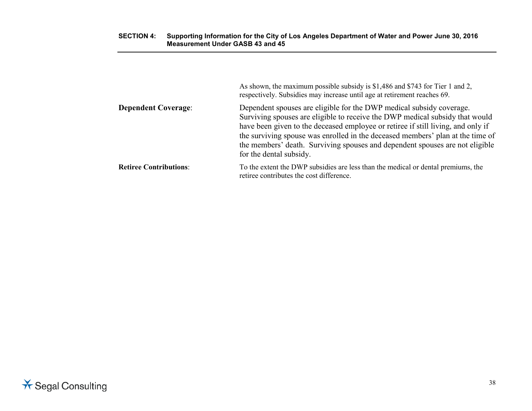# **SECTION 4: Supporting Information for the City of Los Angeles Department of Water and Power June 30, 2016 Measurement Under GASB 43 and 45**

|                               | As shown, the maximum possible subsidy is \$1,486 and \$743 for Tier 1 and 2,<br>respectively. Subsidies may increase until age at retirement reaches 69.                                                                                                                                                                                                                                                                             |
|-------------------------------|---------------------------------------------------------------------------------------------------------------------------------------------------------------------------------------------------------------------------------------------------------------------------------------------------------------------------------------------------------------------------------------------------------------------------------------|
| <b>Dependent Coverage:</b>    | Dependent spouses are eligible for the DWP medical subsidy coverage.<br>Surviving spouses are eligible to receive the DWP medical subsidy that would<br>have been given to the deceased employee or retiree if still living, and only if<br>the surviving spouse was enrolled in the deceased members' plan at the time of<br>the members' death. Surviving spouses and dependent spouses are not eligible<br>for the dental subsidy. |
| <b>Retiree Contributions:</b> | To the extent the DWP subsidies are less than the medical or dental premiums, the<br>retiree contributes the cost difference.                                                                                                                                                                                                                                                                                                         |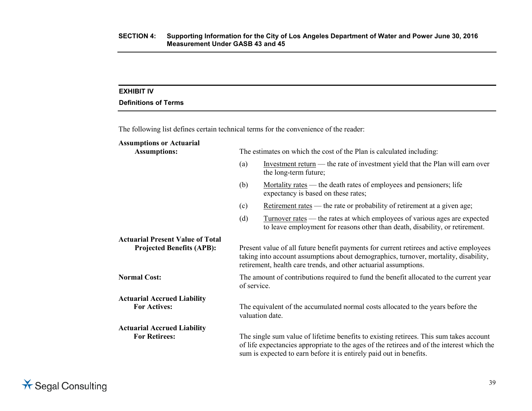# **EXHIBIT IV**

# **Definitions of Terms**

The following list defines certain technical terms for the convenience of the reader:

| <b>Assumptions or Actuarial</b><br><b>Assumptions:</b>                      | The estimates on which the cost of the Plan is calculated including: |                                                                                                                                                                                                                                                             |  |
|-----------------------------------------------------------------------------|----------------------------------------------------------------------|-------------------------------------------------------------------------------------------------------------------------------------------------------------------------------------------------------------------------------------------------------------|--|
|                                                                             | (a)                                                                  | Investment return — the rate of investment yield that the Plan will earn over<br>the long-term future;                                                                                                                                                      |  |
|                                                                             | (b)                                                                  | Mortality rates — the death rates of employees and pensioners; life<br>expectancy is based on these rates;                                                                                                                                                  |  |
|                                                                             | (c)                                                                  | Retirement rates — the rate or probability of retirement at a given age;                                                                                                                                                                                    |  |
|                                                                             | (d)                                                                  | <u>Turnover rates</u> — the rates at which employees of various ages are expected<br>to leave employment for reasons other than death, disability, or retirement.                                                                                           |  |
| <b>Actuarial Present Value of Total</b><br><b>Projected Benefits (APB):</b> |                                                                      | Present value of all future benefit payments for current retirees and active employees<br>taking into account assumptions about demographics, turnover, mortality, disability,<br>retirement, health care trends, and other actuarial assumptions.          |  |
| <b>Normal Cost:</b>                                                         | of service.                                                          | The amount of contributions required to fund the benefit allocated to the current year                                                                                                                                                                      |  |
| <b>Actuarial Accrued Liability</b><br><b>For Actives:</b>                   |                                                                      | The equivalent of the accumulated normal costs allocated to the years before the<br>valuation date.                                                                                                                                                         |  |
| <b>Actuarial Accrued Liability</b><br><b>For Retirees:</b>                  |                                                                      | The single sum value of lifetime benefits to existing retirees. This sum takes account<br>of life expectancies appropriate to the ages of the retirees and of the interest which the<br>sum is expected to earn before it is entirely paid out in benefits. |  |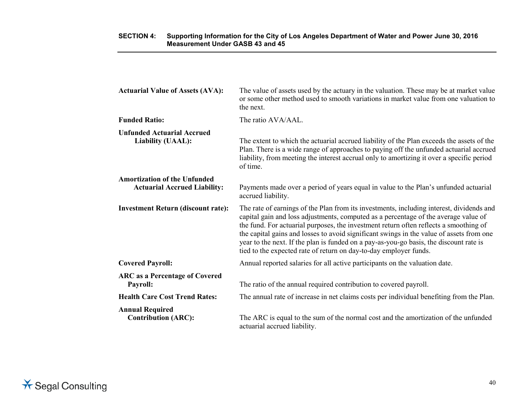| <b>Actuarial Value of Assets (AVA):</b>                                    | The value of assets used by the actuary in the valuation. These may be at market value<br>or some other method used to smooth variations in market value from one valuation to<br>the next.                                                                                                                                                                                                                                                                                                                                         |
|----------------------------------------------------------------------------|-------------------------------------------------------------------------------------------------------------------------------------------------------------------------------------------------------------------------------------------------------------------------------------------------------------------------------------------------------------------------------------------------------------------------------------------------------------------------------------------------------------------------------------|
| <b>Funded Ratio:</b>                                                       | The ratio AVA/AAL.                                                                                                                                                                                                                                                                                                                                                                                                                                                                                                                  |
| <b>Unfunded Actuarial Accrued</b><br>Liability (UAAL):                     | The extent to which the actuarial accrued liability of the Plan exceeds the assets of the<br>Plan. There is a wide range of approaches to paying off the unfunded actuarial accrued<br>liability, from meeting the interest accrual only to amortizing it over a specific period<br>of time.                                                                                                                                                                                                                                        |
| <b>Amortization of the Unfunded</b><br><b>Actuarial Accrued Liability:</b> | Payments made over a period of years equal in value to the Plan's unfunded actuarial<br>accrued liability.                                                                                                                                                                                                                                                                                                                                                                                                                          |
| <b>Investment Return (discount rate):</b>                                  | The rate of earnings of the Plan from its investments, including interest, dividends and<br>capital gain and loss adjustments, computed as a percentage of the average value of<br>the fund. For actuarial purposes, the investment return often reflects a smoothing of<br>the capital gains and losses to avoid significant swings in the value of assets from one<br>year to the next. If the plan is funded on a pay-as-you-go basis, the discount rate is<br>tied to the expected rate of return on day-to-day employer funds. |
| <b>Covered Payroll:</b>                                                    | Annual reported salaries for all active participants on the valuation date.                                                                                                                                                                                                                                                                                                                                                                                                                                                         |
| <b>ARC</b> as a Percentage of Covered<br>Payroll:                          | The ratio of the annual required contribution to covered payroll.                                                                                                                                                                                                                                                                                                                                                                                                                                                                   |
| <b>Health Care Cost Trend Rates:</b>                                       | The annual rate of increase in net claims costs per individual benefiting from the Plan.                                                                                                                                                                                                                                                                                                                                                                                                                                            |
| <b>Annual Required</b><br><b>Contribution (ARC):</b>                       | The ARC is equal to the sum of the normal cost and the amortization of the unfunded<br>actuarial accrued liability.                                                                                                                                                                                                                                                                                                                                                                                                                 |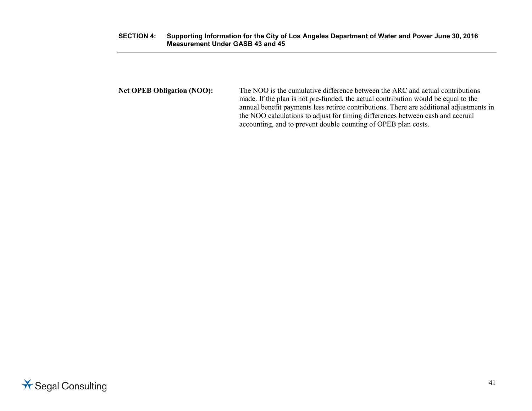## **SECTION 4: Supporting Information for the City of Los Angeles Department of Water and Power June 30, 2016 Measurement Under GASB 43 and 45**

**Net OPEB Obligation (NOO):** The NOO is the cumulative difference between the ARC and actual contributions made. If the plan is not pre-funded, the actual contribution would be equal to the annual benefit payments less retiree contributions. There are additional adjustments in the NOO calculations to adjust for timing differences between cash and accrual accounting, and to prevent double counting of OPEB plan costs.

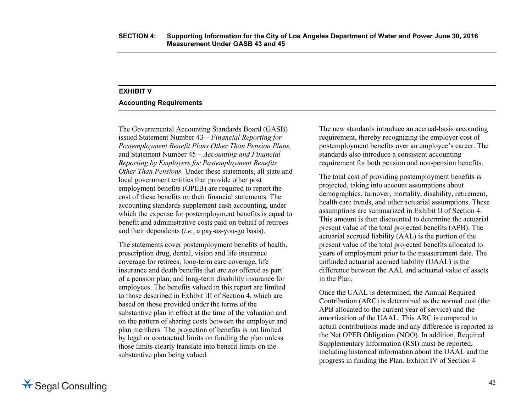# **EXHIBIT V**

## **Accounting Requirements**

The Governmental Accounting Standards Board (GASB) issued Statement Number 43 – *Financial Reporting for Postemployment Benefit Plans Other Than Pension Plans,*  and Statement Number 45 *– Accounting and Financial Reporting by Employers for Postemployment Benefits Other Than Pensions.* Under these statements, all state and local government entities that provide other post employment benefits (OPEB) are required to report the cost of these benefits on their financial statements. The accounting standards supplement cash accounting, under which the expense for postemployment benefits is equal to benefit and administrative costs paid on behalf of retirees and their dependents (*i.e.*, a pay-as-you-go basis).

The statements cover postemployment benefits of health, prescription drug, dental, vision and life insurance coverage for retirees; long-term care coverage, life insurance and death benefits that are *not* offered as part of a pension plan; and long-term disability insurance for employees. The benefits valued in this report are limited to those described in Exhibit III of Section 4, which are based on those provided under the terms of the substantive plan in effect at the time of the valuation and on the pattern of sharing costs between the employer and plan members. The projection of benefits is not limited by legal or contractual limits on funding the plan unless those limits clearly translate into benefit limits on the substantive plan being valued.

The new standards introduce an accrual-basis accounting requirement, thereby recognizing the employer cost of postemployment benefits over an employee's career. The standards also introduce a consistent accounting requirement for both pension and non-pension benefits.

The total cost of providing postemployment benefits is projected, taking into account assumptions about demographics, turnover, mortality, disability, retirement, health care trends, and other actuarial assumptions. These assumptions are summarized in Exhibit II of Section 4. This amount is then discounted to determine the actuarial present value of the total projected benefits (APB). The actuarial accrued liability (AAL) is the portion of the present value of the total projected benefits allocated to years of employment prior to the measurement date. The unfunded actuarial accrued liability (UAAL) is the difference between the AAL and actuarial value of assets in the Plan.

Once the UAAL is determined, the Annual Required Contribution (ARC) is determined as the normal cost (the APB allocated to the current year of service) and the amortization of the UAAL. This ARC is compared to actual contributions made and any difference is reported as the Net OPEB Obligation (NOO). In addition, Required Supplementary Information (RSI) must be reported, including historical information about the UAAL and the progress in funding the Plan. Exhibit IV of Section 4